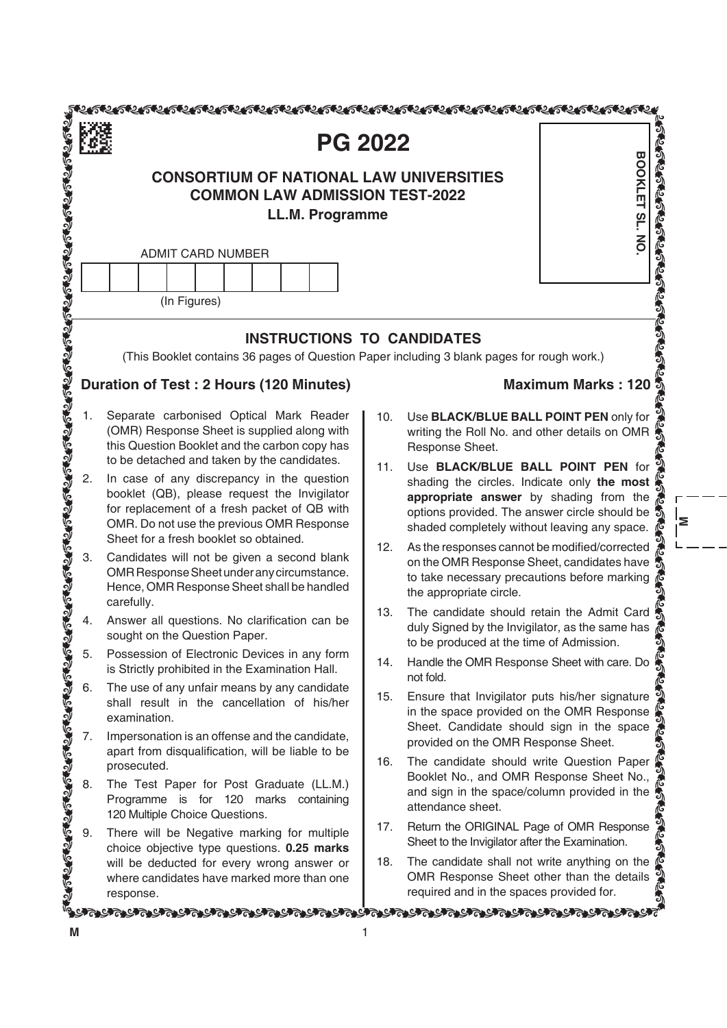|    | <b>PG 2022</b>                                                                                                                                                                                                                         |     |                                                                                                                                                                                                                               |                           |
|----|----------------------------------------------------------------------------------------------------------------------------------------------------------------------------------------------------------------------------------------|-----|-------------------------------------------------------------------------------------------------------------------------------------------------------------------------------------------------------------------------------|---------------------------|
|    | <b>BOOKLET SL. NO</b>                                                                                                                                                                                                                  |     |                                                                                                                                                                                                                               |                           |
|    | <b>ADMIT CARD NUMBER</b><br>(In Figures)                                                                                                                                                                                               |     |                                                                                                                                                                                                                               |                           |
|    | <b>INSTRUCTIONS TO CANDIDATES</b>                                                                                                                                                                                                      |     |                                                                                                                                                                                                                               |                           |
|    | (This Booklet contains 36 pages of Question Paper including 3 blank pages for rough work.)                                                                                                                                             |     |                                                                                                                                                                                                                               |                           |
|    | Duration of Test: 2 Hours (120 Minutes)                                                                                                                                                                                                |     |                                                                                                                                                                                                                               | <b>Maximum Marks: 120</b> |
| 1. | Separate carbonised Optical Mark Reader<br>(OMR) Response Sheet is supplied along with<br>this Question Booklet and the carbon copy has<br>to be detached and taken by the candidates.                                                 | 10. | Use BLACK/BLUE BALL POINT PEN only for<br>writing the Roll No. and other details on OMR<br>Response Sheet.                                                                                                                    |                           |
| 2. | In case of any discrepancy in the question<br>booklet (QB), please request the Invigilator<br>for replacement of a fresh packet of QB with<br>OMR. Do not use the previous OMR Response<br>Sheet for a fresh booklet so obtained.      | 11. | Use BLACK/BLUE BALL POINT PEN for<br>shading the circles. Indicate only the most<br>appropriate answer by shading from the<br>options provided. The answer circle should be !<br>shaded completely without leaving any space. |                           |
| 3. | Candidates will not be given a second blank<br>OMR Response Sheet under any circumstance.<br>Hence, OMR Response Sheet shall be handled<br>carefully.                                                                                  | 12. | As the responses cannot be modified/corrected<br>on the OMR Response Sheet, candidates have<br>to take necessary precautions before marking<br>the appropriate circle.                                                        |                           |
| 4. | Answer all questions. No clarification can be<br>sought on the Question Paper.                                                                                                                                                         | 13. | The candidate should retain the Admit Card<br>duly Signed by the Invigilator, as the same has $\frac{1}{6}$                                                                                                                   |                           |
|    |                                                                                                                                                                                                                                        |     | Handle the OMR Response Sheet with care. Do                                                                                                                                                                                   |                           |
|    | 4. Answer all question is Nordirication can be<br>sought on the Question Paper.<br>S. Possession of Electronic Devices in any form<br>is Strictly prohibited in the Examination Hall.<br>S. The use of any undividend the UMR Response |     | Ensure that Invigilator puts his/her signature<br>in the space provided on the OMR Response<br>Sheet. Candidate should sign in the space                                                                                      |                           |
|    |                                                                                                                                                                                                                                        |     | The candidate should write Question Paper                                                                                                                                                                                     |                           |
|    |                                                                                                                                                                                                                                        |     | Booklet No., and OMR Response Sheet No.,<br>and sign in the space/column provided in the $\frac{1}{\sqrt{2}}$                                                                                                                 |                           |
|    |                                                                                                                                                                                                                                        |     |                                                                                                                                                                                                                               |                           |
|    |                                                                                                                                                                                                                                        |     | The candidate shall not write anything on the $\mathcal C$<br>OMR Response Sheet other than the details                                                                                                                       |                           |

**m**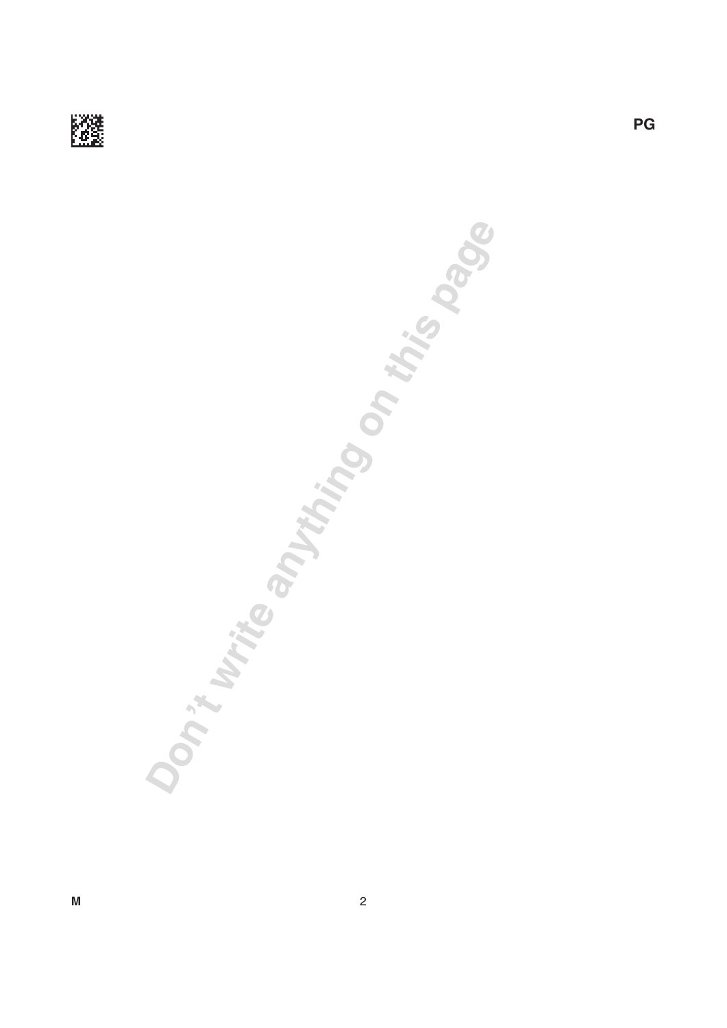

**Don't write anything on this page**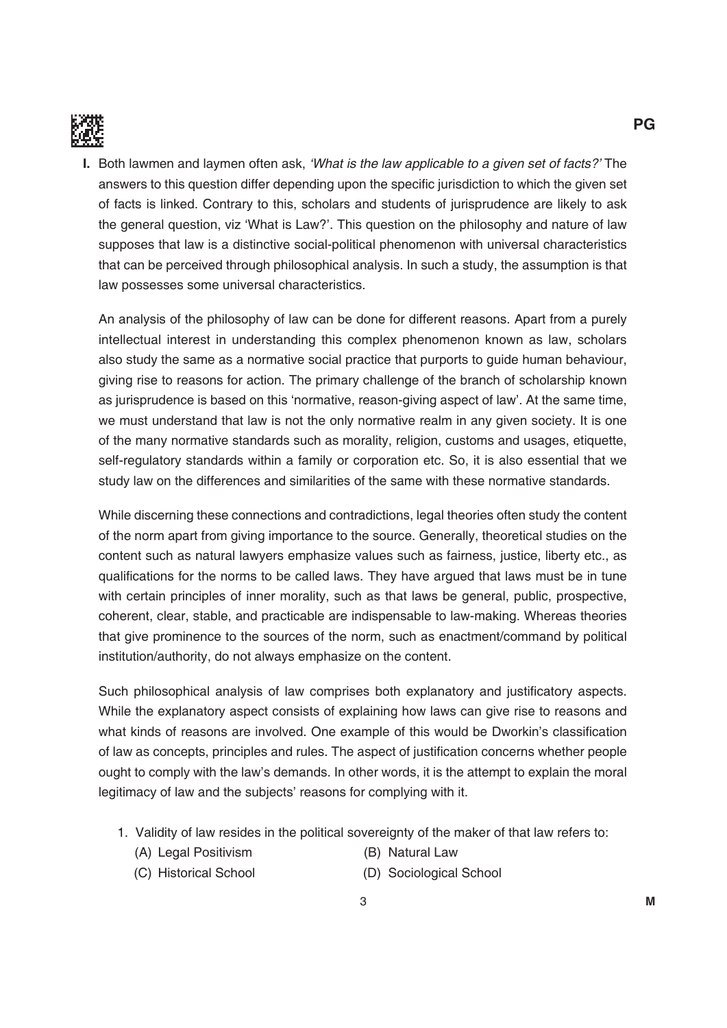

**I.** Both lawmen and laymen often ask, 'What is the law applicable to a given set of facts?' The answers to this question differ depending upon the specific jurisdiction to which the given set of facts is linked. Contrary to this, scholars and students of jurisprudence are likely to ask the general question, viz 'What is Law?'. This question on the philosophy and nature of law supposes that law is a distinctive social-political phenomenon with universal characteristics that can be perceived through philosophical analysis. in such a study, the assumption is that law possesses some universal characteristics.

 An analysis of the philosophy of law can be done for different reasons. Apart from a purely intellectual interest in understanding this complex phenomenon known as law, scholars also study the same as a normative social practice that purports to guide human behaviour, giving rise to reasons for action. The primary challenge of the branch of scholarship known as jurisprudence is based on this 'normative, reason-giving aspect of law'. At the same time, we must understand that law is not the only normative realm in any given society. it is one of the many normative standards such as morality, religion, customs and usages, etiquette, self-regulatory standards within a family or corporation etc. So, it is also essential that we study law on the differences and similarities of the same with these normative standards.

 While discerning these connections and contradictions, legal theories often study the content of the norm apart from giving importance to the source. Generally, theoretical studies on the content such as natural lawyers emphasize values such as fairness, justice, liberty etc., as qualifications for the norms to be called laws. They have argued that laws must be in tune with certain principles of inner morality, such as that laws be general, public, prospective, coherent, clear, stable, and practicable are indispensable to law-making. Whereas theories that give prominence to the sources of the norm, such as enactment/command by political institution/authority, do not always emphasize on the content.

Such philosophical analysis of law comprises both explanatory and justificatory aspects. While the explanatory aspect consists of explaining how laws can give rise to reasons and what kinds of reasons are involved. One example of this would be Dworkin's classification of law as concepts, principles and rules. The aspect of justification concerns whether people ought to comply with the law's demands. in other words, it is the attempt to explain the moral legitimacy of law and the subjects' reasons for complying with it.

- 1. Validity of law resides in the political sovereignty of the maker of that law refers to:
	- (A) Legal Positivism (B) Natural Law
		-
	- (C) Historical School (D) Sociological School
		-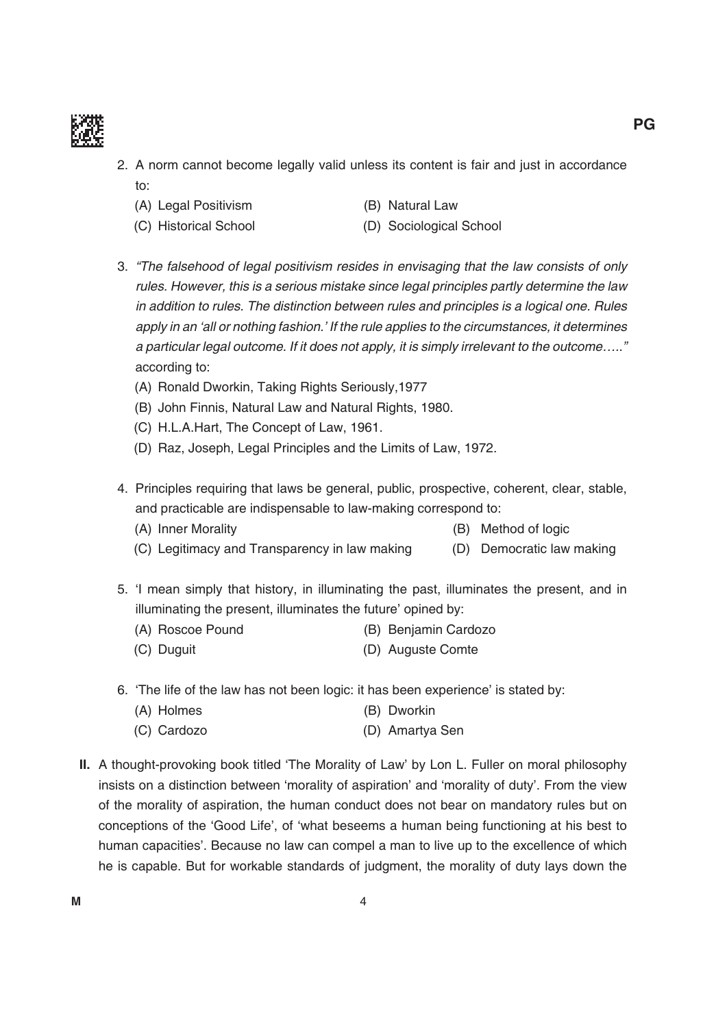

- 2. A norm cannot become legally valid unless its content is fair and just in accordance to:
	- (A) Legal Positivism (B) Natural Law
		-
	- (C) Historical School (D) Sociological School
- 3. "The falsehood of legal positivism resides in envisaging that the law consists of only rules. However, this is a serious mistake since legal principles partly determine the law in addition to rules. The distinction between rules and principles is a logical one. Rules apply in an 'all or nothing fashion.' If the rule applies to the circumstances, it determines a particular legal outcome. If it does not apply, it is simply irrelevant to the outcome….." according to:
	- (A) Ronald Dworkin, Taking Rights Seriously, 1977
	- (B) John Finnis, Natural Law and Natural Rights, 1980.
	- (C) H.L.A.Hart, The Concept of Law, 1961.
	- (D) Raz, Joseph, Legal Principles and the Limits of Law, 1972.
- 4. Principles requiring that laws be general, public, prospective, coherent, clear, stable, and practicable are indispensable to law-making correspond to:
	- (A) Inner Morality (B) Method of logic
	- (C) Legitimacy and Transparency in law making (D) Democratic law making
- 5. 'i mean simply that history, in illuminating the past, illuminates the present, and in illuminating the present, illuminates the future' opined by:
	- (A) Roscoe Pound (B) Benjamin Cardozo
	- (C) Duguit (D) Auguste Comte
- 6. 'The life of the law has not been logic: it has been experience' is stated by:
	- (A) Holmes (B) Dworkin
	- (C) Cardozo (D) Amartya Sen
- **II.** A thought-provoking book titled 'The Morality of Law' by Lon L. Fuller on moral philosophy insists on a distinction between 'morality of aspiration' and 'morality of duty'. From the view of the morality of aspiration, the human conduct does not bear on mandatory rules but on conceptions of the 'Good Life', of 'what beseems a human being functioning at his best to human capacities'. because no law can compel a man to live up to the excellence of which he is capable. but for workable standards of judgment, the morality of duty lays down the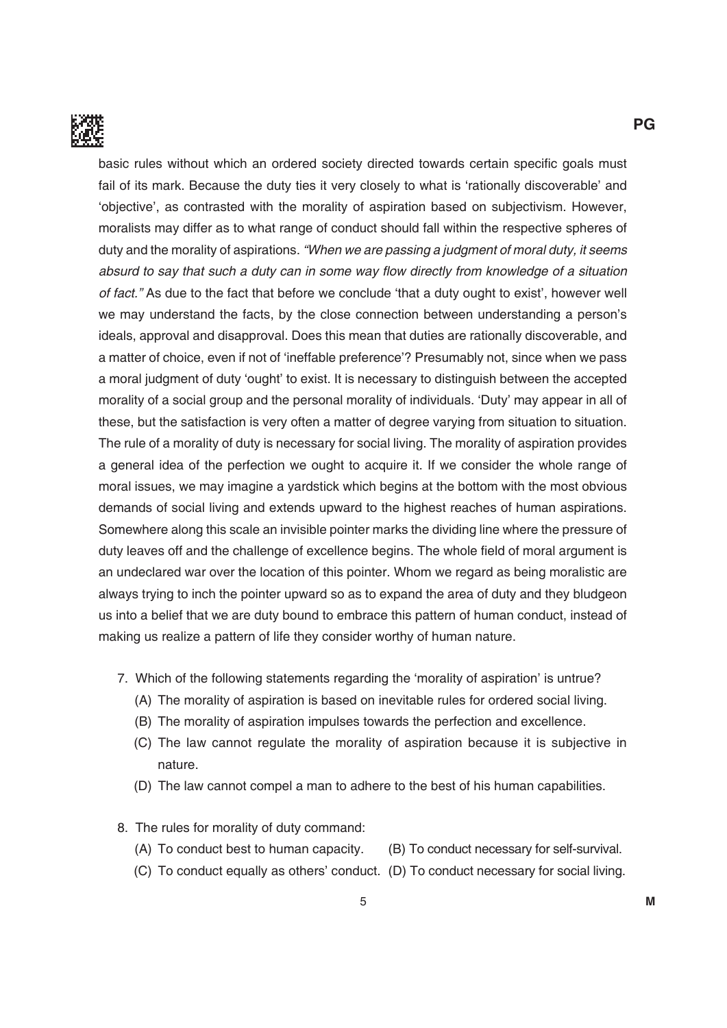

basic rules without which an ordered society directed towards certain specific goals must fail of its mark. Because the duty ties it very closely to what is 'rationally discoverable' and 'objective', as contrasted with the morality of aspiration based on subjectivism. However, moralists may differ as to what range of conduct should fall within the respective spheres of duty and the morality of aspirations. "When we are passing a judgment of moral duty, it seems absurd to say that such a duty can in some way flow directly from knowledge of a situation of fact." As due to the fact that before we conclude 'that a duty ought to exist', however well we may understand the facts, by the close connection between understanding a person's ideals, approval and disapproval. Does this mean that duties are rationally discoverable, and a matter of choice, even if not of 'ineffable preference'? Presumably not, since when we pass a moral judgment of duty 'ought' to exist. it is necessary to distinguish between the accepted morality of a social group and the personal morality of individuals. 'Duty' may appear in all of these, but the satisfaction is very often a matter of degree varying from situation to situation. The rule of a morality of duty is necessary for social living. The morality of aspiration provides a general idea of the perfection we ought to acquire it. if we consider the whole range of moral issues, we may imagine a yardstick which begins at the bottom with the most obvious demands of social living and extends upward to the highest reaches of human aspirations. Somewhere along this scale an invisible pointer marks the dividing line where the pressure of duty leaves off and the challenge of excellence begins. The whole field of moral argument is an undeclared war over the location of this pointer. Whom we regard as being moralistic are always trying to inch the pointer upward so as to expand the area of duty and they bludgeon us into a belief that we are duty bound to embrace this pattern of human conduct, instead of making us realize a pattern of life they consider worthy of human nature.

- 7. Which of the following statements regarding the 'morality of aspiration' is untrue?
	- (A) The morality of aspiration is based on inevitable rules for ordered social living.
	- (B) The morality of aspiration impulses towards the perfection and excellence.
	- (C) the law cannot regulate the morality of aspiration because it is subjective in nature.
	- (D) The law cannot compel a man to adhere to the best of his human capabilities.
- 8. The rules for morality of duty command:
	- $(A)$  To conduct best to human capacity.  $(B)$  To conduct necessary for self-survival.
	- (C) To conduct equally as others' conduct. (D) To conduct necessary for social living.

**PG**

5 **m**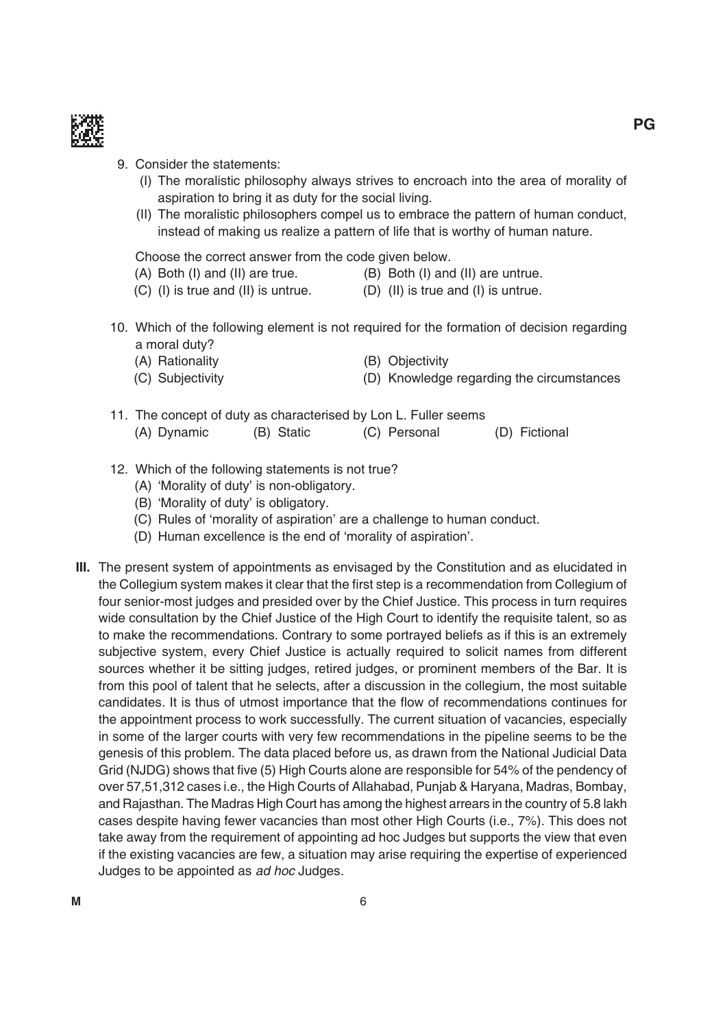

## 9. Consider the statements:

- (i) the moralistic philosophy always strives to encroach into the area of morality of aspiration to bring it as duty for the social living.
- (ii) the moralistic philosophers compel us to embrace the pattern of human conduct, instead of making us realize a pattern of life that is worthy of human nature.

Choose the correct answer from the code given below.

- $(A)$  Both (I) and (II) are true.  $(B)$  Both (I) and (II) are untrue.
- $(C)$  (I) is true and (II) is untrue.  $(D)$  (II) is true and (I) is untrue.
- 10. Which of the following element is not required for the formation of decision regarding a moral duty?
	- (A) Rationality (B) Objectivity (C) Subjectivity (D) Knowledge regarding the circumstances
- 11. The concept of duty as characterised by Lon L. Fuller seems (A) Dynamic (B) Static (C) Personal (D) Fictional
- 12. Which of the following statements is not true?
	- (A) 'Morality of duty' is non-obligatory.
	- (B) 'Morality of duty' is obligatory.
	- (C) Rules of 'morality of aspiration' are a challenge to human conduct.
	- (D) Human excellence is the end of 'morality of aspiration'.
- **III.** The present system of appointments as envisaged by the Constitution and as elucidated in the Collegium system makes it clear that the first step is a recommendation from Collegium of four senior-most judges and presided over by the Chief Justice. This process in turn requires wide consultation by the Chief Justice of the High Court to identify the requisite talent, so as to make the recommendations. Contrary to some portrayed beliefs as if this is an extremely subjective system, every Chief Justice is actually required to solicit names from different sources whether it be sitting judges, retired judges, or prominent members of the Bar. It is from this pool of talent that he selects, after a discussion in the collegium, the most suitable candidates. It is thus of utmost importance that the flow of recommendations continues for the appointment process to work successfully. The current situation of vacancies, especially in some of the larger courts with very few recommendations in the pipeline seems to be the genesis of this problem. The data placed before us, as drawn from the National Judicial Data Grid (NJDG) shows that five (5) High Courts alone are responsible for 54% of the pendency of over 57,51,312 cases i.e., the High Courts of Allahabad, Punjab & Haryana, madras, bombay, and Rajasthan. The Madras High Court has among the highest arrears in the country of 5.8 lakh cases despite having fewer vacancies than most other High Courts (i.e., 7%). This does not take away from the requirement of appointing ad hoc Judges but supports the view that even if the existing vacancies are few, a situation may arise requiring the expertise of experienced Judges to be appointed as ad hoc Judges.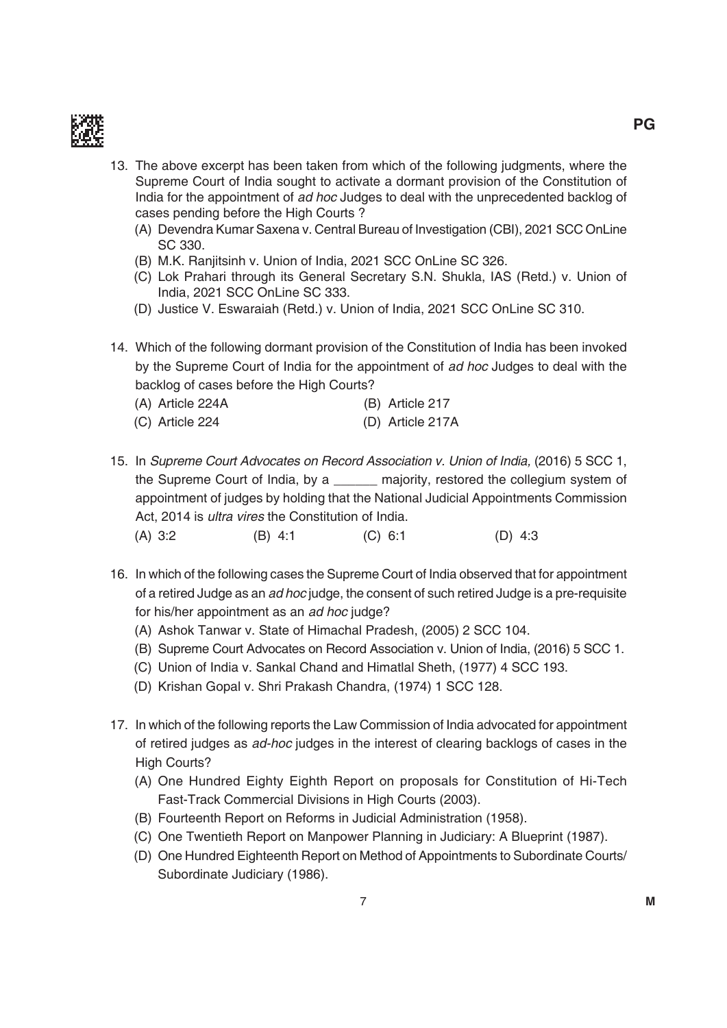

- 13. The above excerpt has been taken from which of the following judgments, where the Supreme Court of india sought to activate a dormant provision of the Constitution of India for the appointment of ad hoc Judges to deal with the unprecedented backlog of cases pending before the High Courts ?
	- (A) Devendra Kumar Saxena v. Central Bureau of Investigation (CBI), 2021 SCC OnLine SC 330.
	- (B) M.K. Ranjitsinh v. Union of India, 2021 SCC OnLine SC 326.
	- (C) Lok Prahari through its General Secretary S.N. Shukla, IAS (Retd.) v. Union of india, 2021 SCC OnLine SC 333.
	- (D) Justice V. Eswaraiah (Retd.) v. Union of India, 2021 SCC OnLine SC 310.
- 14. Which of the following dormant provision of the Constitution of india has been invoked by the Supreme Court of india for the appointment of ad hoc Judges to deal with the backlog of cases before the High Courts?
	- (A) Article 224A (b) Article 217 (C) Article 224 (D) Article 217A
- 15. in Supreme Court Advocates on Record Association v. Union of India, (2016) 5 SCC 1, the Supreme Court of india, by a \_\_\_\_\_\_ majority, restored the collegium system of appointment of judges by holding that the National Judicial Appointments Commission Act, 2014 is ultra vires the Constitution of india. (A) 3:2 (B) 4:1 (C) 6:1 (D) 4:3
- 16. in which of the following cases the Supreme Court of india observed that for appointment of a retired Judge as an *ad hoc* judge, the consent of such retired Judge is a pre-requisite for his/her appointment as an ad hoc judge?
	- (A) Ashok Tanwar v. State of Himachal Pradesh, (2005) 2 SCC 104.
	- (B) Supreme Court Advocates on Record Association v. Union of India, (2016) 5 SCC 1.
	- (C) Union of India v. Sankal Chand and Himatlal Sheth, (1977) 4 SCC 193.
	- (D) Krishan Gopal v. Shri Prakash Chandra, (1974) 1 SCC 128.
- 17. in which of the following reports the Law Commission of india advocated for appointment of retired judges as ad-hoc judges in the interest of clearing backlogs of cases in the High Courts?
	- (A) One Hundred Eighty Eighth Report on proposals for Constitution of Hi-Tech Fast-Track Commercial Divisions in High Courts (2003).
	- (B) Fourteenth Report on Reforms in Judicial Administration (1958).
	- (C) One Twentieth Report on Manpower Planning in Judiciary: A Blueprint (1987).
	- (D) One Hundred Eighteenth Report on Method of Appointments to Subordinate Courts/ Subordinate Judiciary (1986).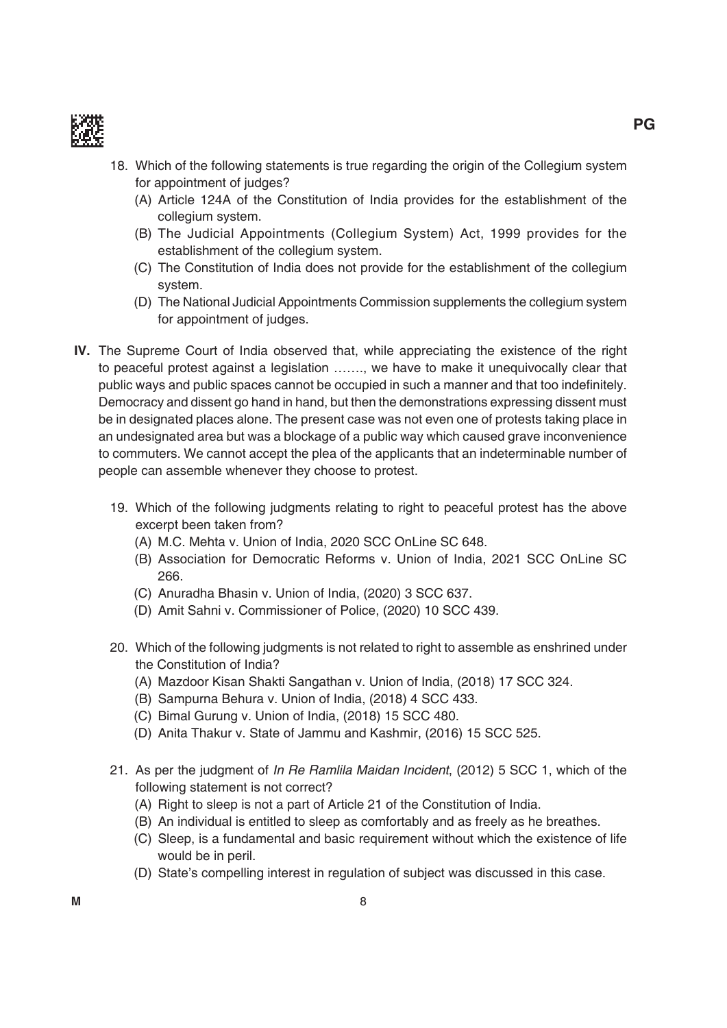

- 18. Which of the following statements is true regarding the origin of the Collegium system for appointment of judges?
	- (A) Article 124A of the Constitution of india provides for the establishment of the collegium system.
	- (B) The Judicial Appointments (Collegium System) Act, 1999 provides for the establishment of the collegium system.
	- (C) the Constitution of india does not provide for the establishment of the collegium system.
	- (D) The National Judicial Appointments Commission supplements the collegium system for appointment of judges.
- **IV.** The Supreme Court of India observed that, while appreciating the existence of the right to peaceful protest against a legislation ……., we have to make it unequivocally clear that public ways and public spaces cannot be occupied in such a manner and that too indefinitely. Democracy and dissent go hand in hand, but then the demonstrations expressing dissent must be in designated places alone. The present case was not even one of protests taking place in an undesignated area but was a blockage of a public way which caused grave inconvenience to commuters. We cannot accept the plea of the applicants that an indeterminable number of people can assemble whenever they choose to protest.
	- 19. Which of the following judgments relating to right to peaceful protest has the above excerpt been taken from?
		- (A) M.C. Mehta v. Union of India, 2020 SCC OnLine SC 648.
		- (B) Association for Democratic Reforms v. Union of India, 2021 SCC OnLine SC 266.
		- (C) Anuradha Bhasin v. Union of India, (2020) 3 SCC 637.
		- (D) Amit Sahni v. Commissioner of Police, (2020) 10 SCC 439.
	- 20. Which of the following judgments is not related to right to assemble as enshrined under the Constitution of india?
		- (A) Mazdoor Kisan Shakti Sangathan v. Union of India, (2018) 17 SCC 324.
		- (B) Sampurna Behura v. Union of India, (2018) 4 SCC 433.
		- (C) Bimal Gurung v. Union of India, (2018) 15 SCC 480.
		- (D) Anita Thakur v. State of Jammu and Kashmir, (2016) 15 SCC 525.
	- 21. As per the judgment of In Re Ramilla Maidan Incident, (2012) 5 SCC 1, which of the following statement is not correct?
		- (A) Right to sleep is not a part of Article 21 of the Constitution of India.
		- (b) An individual is entitled to sleep as comfortably and as freely as he breathes.
		- (C) Sleep, is a fundamental and basic requirement without which the existence of life would be in peril.
		- (d) State's compelling interest in regulation of subject was discussed in this case.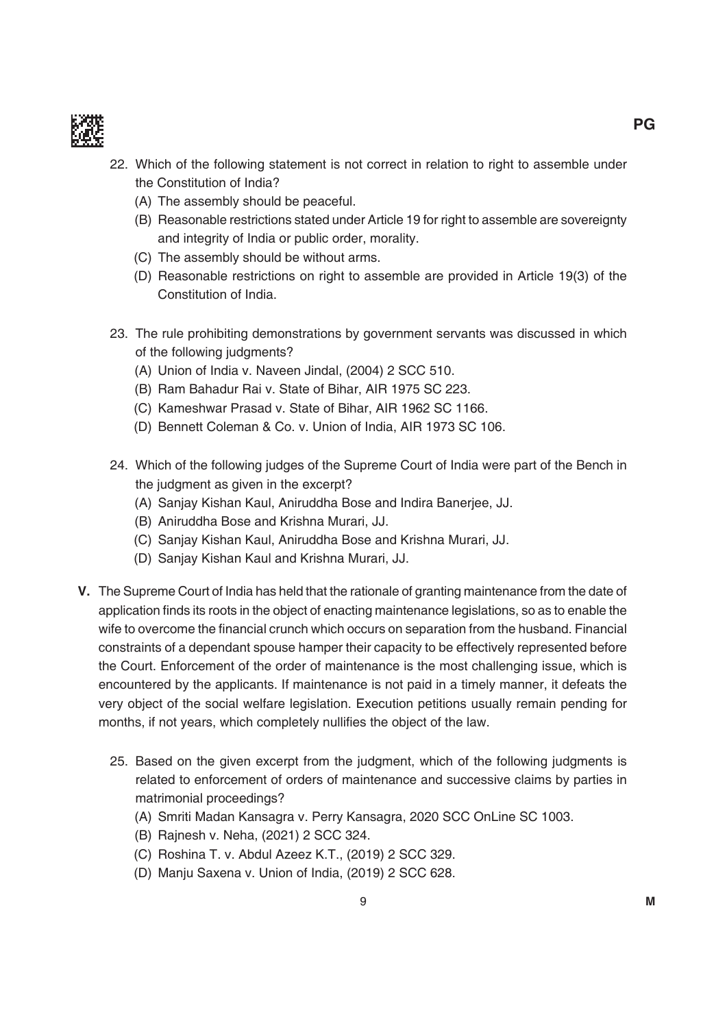

- 22. Which of the following statement is not correct in relation to right to assemble under the Constitution of india?
	- (A) The assembly should be peaceful.
	- (B) Reasonable restrictions stated under Article 19 for right to assemble are sovereignty and integrity of india or public order, morality.
	- (C) The assembly should be without arms.
	- (D) Reasonable restrictions on right to assemble are provided in Article 19(3) of the Constitution of india.
- 23. The rule prohibiting demonstrations by government servants was discussed in which of the following judgments?
	- (A) Union of India v. Naveen Jindal, (2004) 2 SCC 510.
	- (B) Ram Bahadur Rai v. State of Bihar, AIR 1975 SC 223.
	- (C) Kameshwar Prasad v. State of Bihar, AIR 1962 SC 1166.
	- (D) Bennett Coleman & Co. v. Union of India, AIR 1973 SC 106.
- 24. Which of the following judges of the Supreme Court of india were part of the bench in the judgment as given in the excerpt?
	- (A) Sanjay Kishan Kaul, Aniruddha bose and indira banerjee, JJ.
	- (b) Aniruddha bose and Krishna murari, JJ.
	- (C) Sanjay Kishan Kaul, Aniruddha bose and Krishna murari, JJ.
	- (D) Sanjay Kishan Kaul and Krishna Murari, JJ.
- **v.** the Supreme Court of india has held that the rationale of granting maintenance from the date of application finds its roots in the object of enacting maintenance legislations, so as to enable the wife to overcome the financial crunch which occurs on separation from the husband. Financial constraints of a dependant spouse hamper their capacity to be effectively represented before the Court. enforcement of the order of maintenance is the most challenging issue, which is encountered by the applicants. if maintenance is not paid in a timely manner, it defeats the very object of the social welfare legislation. Execution petitions usually remain pending for months, if not years, which completely nullifies the object of the law.
	- 25. based on the given excerpt from the judgment, which of the following judgments is related to enforcement of orders of maintenance and successive claims by parties in matrimonial proceedings?
		- (A) Smriti madan Kansagra v. Perry Kansagra, 2020 SCC OnLine SC 1003.
		- (B) Rajnesh v. Neha, (2021) 2 SCC 324.
		- (C) Roshina T. v. Abdul Azeez K.T., (2019) 2 SCC 329.
		- (D) Manju Saxena v. Union of India, (2019) 2 SCC 628.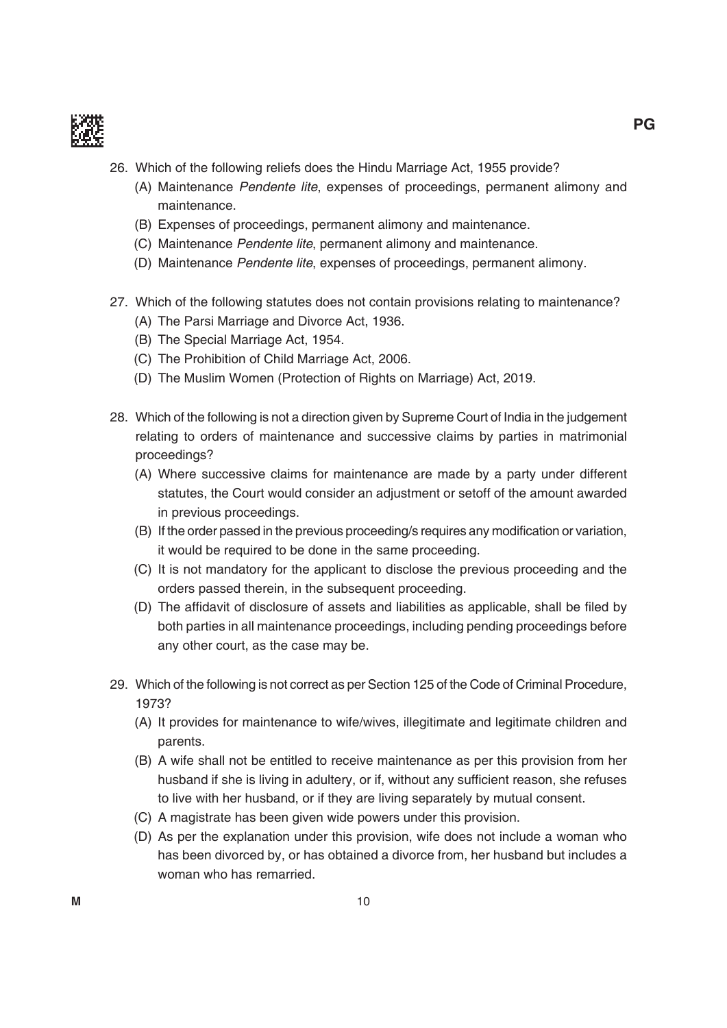

- 26. Which of the following reliefs does the Hindu marriage Act, 1955 provide?
	- (A) maintenance Pendente lite, expenses of proceedings, permanent alimony and maintenance.
	- (B) Expenses of proceedings, permanent alimony and maintenance.
	- (C) maintenance Pendente lite, permanent alimony and maintenance.
	- (D) Maintenance Pendente lite, expenses of proceedings, permanent alimony.
- 27. Which of the following statutes does not contain provisions relating to maintenance?
	- (A) The Parsi Marriage and Divorce Act, 1936.
	- (B) The Special Marriage Act, 1954.
	- (C) The Prohibition of Child Marriage Act, 2006.
	- (D) The Muslim Women (Protection of Rights on Marriage) Act, 2019.
- 28. Which of the following is not a direction given by Supreme Court of india in the judgement relating to orders of maintenance and successive claims by parties in matrimonial proceedings?
	- (A) Where successive claims for maintenance are made by a party under different statutes, the Court would consider an adjustment or setoff of the amount awarded in previous proceedings.
	- (B) If the order passed in the previous proceeding/s requires any modification or variation, it would be required to be done in the same proceeding.
	- (C) it is not mandatory for the applicant to disclose the previous proceeding and the orders passed therein, in the subsequent proceeding.
	- (D) The affidavit of disclosure of assets and liabilities as applicable, shall be filed by both parties in all maintenance proceedings, including pending proceedings before any other court, as the case may be.
- 29. Which of the following is not correct as per Section 125 of the Code of Criminal Procedure, 1973?
	- (A) it provides for maintenance to wife/wives, illegitimate and legitimate children and parents.
	- (b) A wife shall not be entitled to receive maintenance as per this provision from her husband if she is living in adultery, or if, without any sufficient reason, she refuses to live with her husband, or if they are living separately by mutual consent.
	- (C) A magistrate has been given wide powers under this provision.
	- (d) As per the explanation under this provision, wife does not include a woman who has been divorced by, or has obtained a divorce from, her husband but includes a woman who has remarried.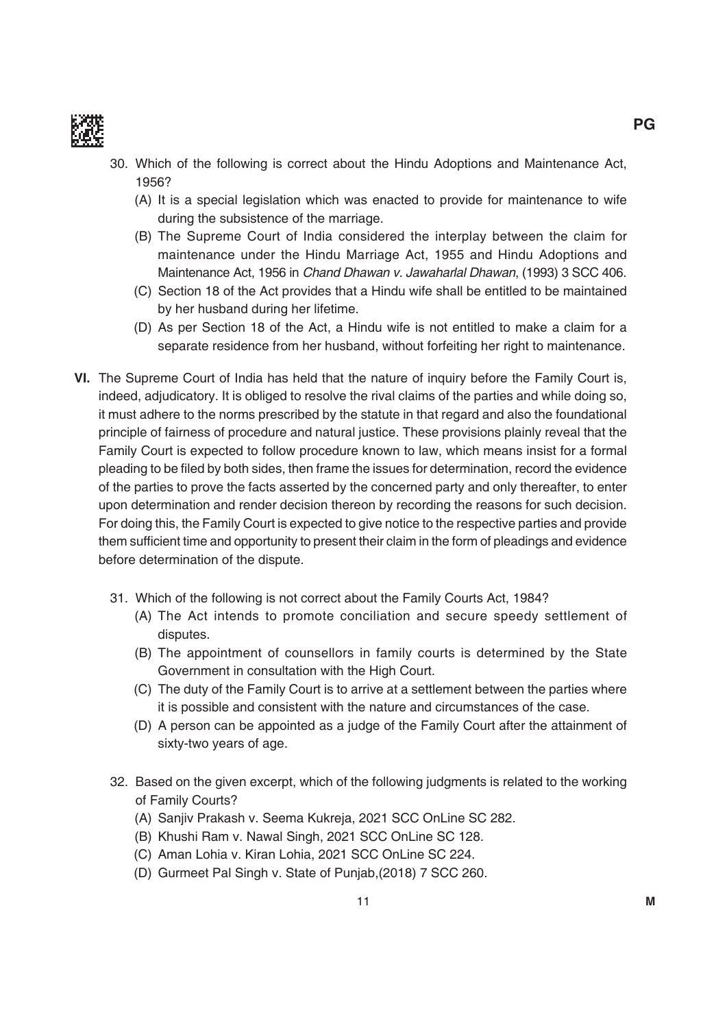

- 30. Which of the following is correct about the Hindu Adoptions and maintenance Act, 1956?
	- (A) it is a special legislation which was enacted to provide for maintenance to wife during the subsistence of the marriage.
	- (b) the Supreme Court of india considered the interplay between the claim for maintenance under the Hindu marriage Act, 1955 and Hindu Adoptions and maintenance Act, 1956 in Chand Dhawan v. Jawaharlal Dhawan, (1993) 3 SCC 406.
	- (C) Section 18 of the Act provides that a Hindu wife shall be entitled to be maintained by her husband during her lifetime.
	- (d) As per Section 18 of the Act, a Hindu wife is not entitled to make a claim for a separate residence from her husband, without forfeiting her right to maintenance.
- **VI.** The Supreme Court of India has held that the nature of inquiry before the Family Court is, indeed, adjudicatory. it is obliged to resolve the rival claims of the parties and while doing so, it must adhere to the norms prescribed by the statute in that regard and also the foundational principle of fairness of procedure and natural justice. These provisions plainly reveal that the Family Court is expected to follow procedure known to law, which means insist for a formal pleading to be filed by both sides, then frame the issues for determination, record the evidence of the parties to prove the facts asserted by the concerned party and only thereafter, to enter upon determination and render decision thereon by recording the reasons for such decision. For doing this, the Family Court is expected to give notice to the respective parties and provide them sufficient time and opportunity to present their claim in the form of pleadings and evidence before determination of the dispute.
	- 31. Which of the following is not correct about the Family Courts Act, 1984?
		- (A) The Act intends to promote conciliation and secure speedy settlement of disputes.
		- (B) The appointment of counsellors in family courts is determined by the State Government in consultation with the High Court.
		- (C) The duty of the Family Court is to arrive at a settlement between the parties where it is possible and consistent with the nature and circumstances of the case.
		- (d) A person can be appointed as a judge of the Family Court after the attainment of sixty-two years of age.
	- 32. based on the given excerpt, which of the following judgments is related to the working of Family Courts?
		- (A) Sanjiv Prakash v. Seema Kukreja, 2021 SCC OnLine SC 282.
		- (B) Khushi Ram v. Nawal Singh, 2021 SCC OnLine SC 128.
		- (C) Aman Lohia v. Kiran Lohia, 2021 SCC OnLine SC 224.
		- (D) Gurmeet Pal Singh v. State of Punjab,(2018) 7 SCC 260.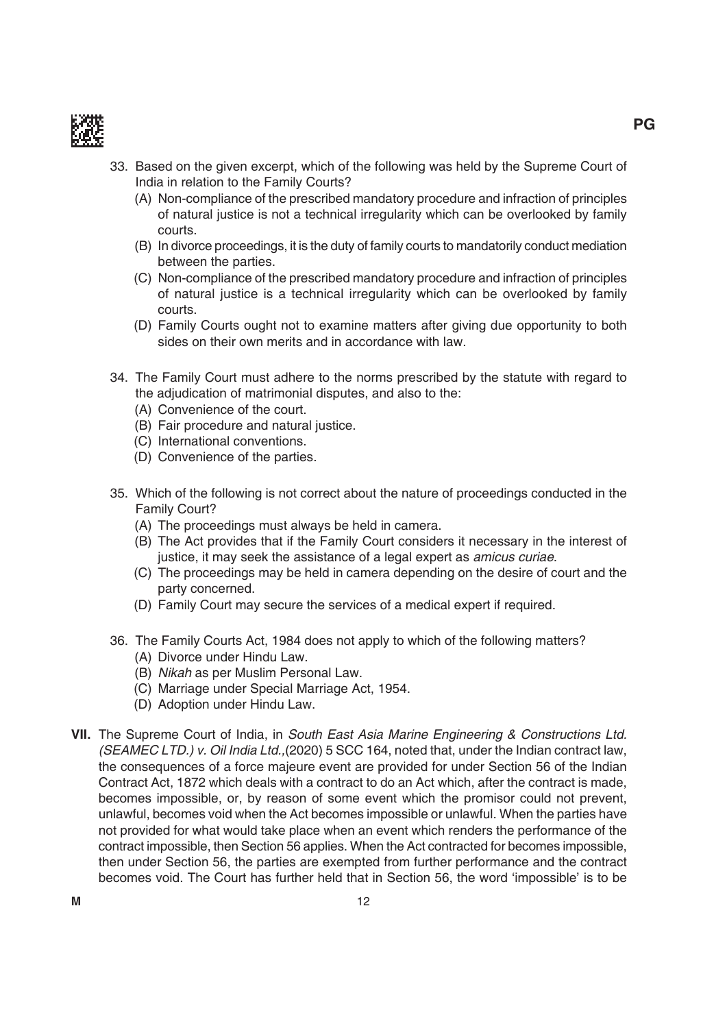

- 33. based on the given excerpt, which of the following was held by the Supreme Court of india in relation to the Family Courts?
	- (A) Non-compliance of the prescribed mandatory procedure and infraction of principles of natural justice is not a technical irregularity which can be overlooked by family courts.
	- (b) in divorce proceedings, it is the duty of family courts to mandatorily conduct mediation between the parties.
	- (C) Non-compliance of the prescribed mandatory procedure and infraction of principles of natural justice is a technical irregularity which can be overlooked by family courts.
	- (D) Family Courts ought not to examine matters after giving due opportunity to both sides on their own merits and in accordance with law.
- 34. the Family Court must adhere to the norms prescribed by the statute with regard to the adjudication of matrimonial disputes, and also to the:
	- (A) Convenience of the court.
	- (b) Fair procedure and natural justice.
	- (C) international conventions.
	- (D) Convenience of the parties.
- 35. Which of the following is not correct about the nature of proceedings conducted in the Family Court?
	- (A) The proceedings must always be held in camera.
	- (B) The Act provides that if the Family Court considers it necessary in the interest of justice, it may seek the assistance of a legal expert as *amicus curiae*.
	- (C) the proceedings may be held in camera depending on the desire of court and the party concerned.
	- (D) Family Court may secure the services of a medical expert if required.
- 36. the Family Courts Act, 1984 does not apply to which of the following matters? (A) Divorce under Hindu Law.
	- (B) Nikah as per Muslim Personal Law.
	- (C) marriage under Special marriage Act, 1954.
	- (D) Adoption under Hindu Law.
- **VII.** The Supreme Court of India, in South East Asia Marine Engineering & Constructions Ltd. (SEAMEC LTD.) v. Oil India Ltd.,(2020) 5 SCC 164, noted that, under the indian contract law, the consequences of a force majeure event are provided for under Section 56 of the indian Contract Act, 1872 which deals with a contract to do an Act which, after the contract is made, becomes impossible, or, by reason of some event which the promisor could not prevent, unlawful, becomes void when the Act becomes impossible or unlawful. When the parties have not provided for what would take place when an event which renders the performance of the contract impossible, then Section 56 applies. When the Act contracted for becomes impossible, then under Section 56, the parties are exempted from further performance and the contract becomes void. the Court has further held that in Section 56, the word 'impossible' is to be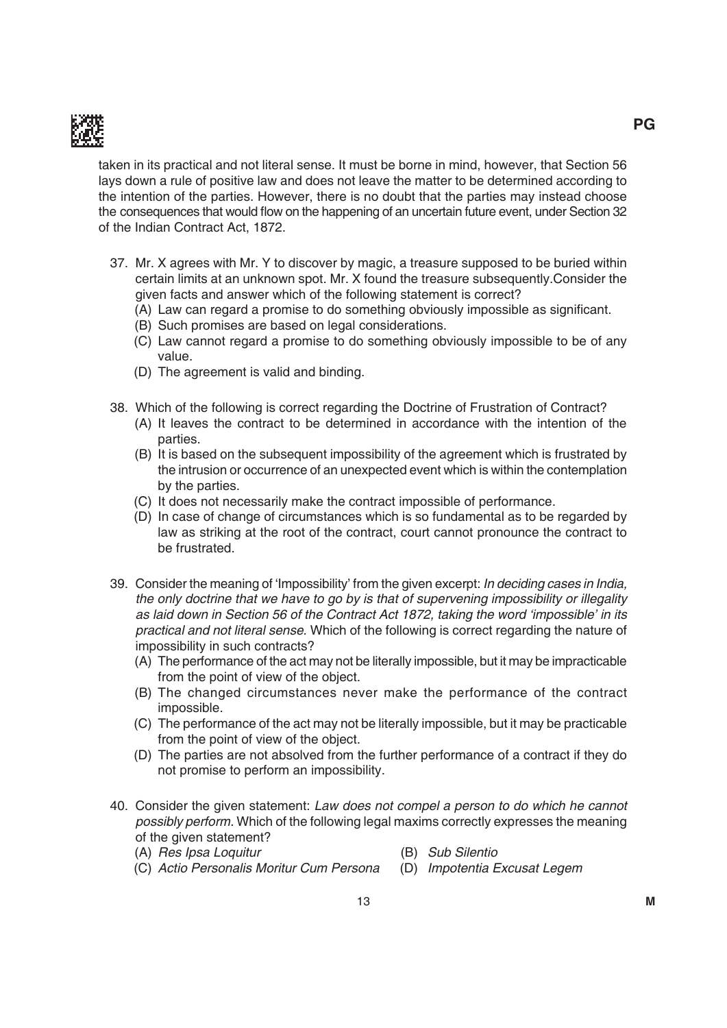

taken in its practical and not literal sense. it must be borne in mind, however, that Section 56 lays down a rule of positive law and does not leave the matter to be determined according to the intention of the parties. However, there is no doubt that the parties may instead choose the consequences that would flow on the happening of an uncertain future event, under Section 32 of the indian Contract Act, 1872.

- 37. mr. X agrees with mr. Y to discover by magic, a treasure supposed to be buried within certain limits at an unknown spot. Mr. X found the treasure subsequently.Consider the given facts and answer which of the following statement is correct?
	- (A) Law can regard a promise to do something obviously impossible as significant.
	- (b) Such promises are based on legal considerations.
	- (C) Law cannot regard a promise to do something obviously impossible to be of any value.
	- (D) The agreement is valid and binding.
- 38. Which of the following is correct regarding the Doctrine of Frustration of Contract?
	- (A) it leaves the contract to be determined in accordance with the intention of the parties.
	- (b) it is based on the subsequent impossibility of the agreement which is frustrated by the intrusion or occurrence of an unexpected event which is within the contemplation by the parties.
	- (C) it does not necessarily make the contract impossible of performance.
	- (d) in case of change of circumstances which is so fundamental as to be regarded by law as striking at the root of the contract, court cannot pronounce the contract to be frustrated.
- 39. Consider the meaning of 'Impossibility' from the given excerpt: In deciding cases in India, the only doctrine that we have to go by is that of supervening impossibility or illegality as laid down in Section 56 of the Contract Act 1872, taking the word 'impossible' in its practical and not literal sense. Which of the following is correct regarding the nature of impossibility in such contracts?
	- (A) The performance of the act may not be literally impossible, but it may be impracticable from the point of view of the object.
	- (b) the changed circumstances never make the performance of the contract impossible.
	- (C) the performance of the act may not be literally impossible, but it may be practicable from the point of view of the object.
	- (D) The parties are not absolved from the further performance of a contract if they do not promise to perform an impossibility.
- 40. Consider the given statement: Law does not compel a person to do which he cannot possibly perform. Which of the following legal maxims correctly expresses the meaning of the given statement?
	- (A) Res Ipsa Loquitur (B) Sub Silentio
	- (C) Actio Personalis Moritur Cum Persona (D) Impotentia Excusat Legem
- -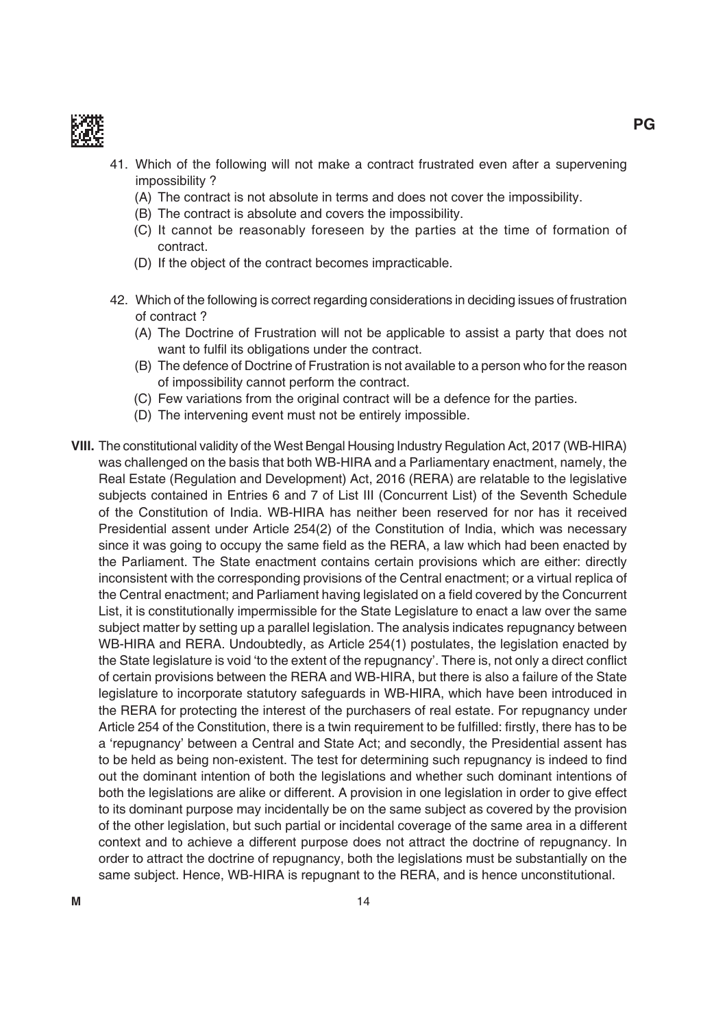

- 41. Which of the following will not make a contract frustrated even after a supervening impossibility ?
	- (A) The contract is not absolute in terms and does not cover the impossibility.
	- (B) The contract is absolute and covers the impossibility.
	- (C) it cannot be reasonably foreseen by the parties at the time of formation of contract.
	- (D) If the object of the contract becomes impracticable.
- 42. Which of the following is correct regarding considerations in deciding issues of frustration of contract ?
	- (A) The Doctrine of Frustration will not be applicable to assist a party that does not want to fulfil its obligations under the contract.
	- (B) The defence of Doctrine of Frustration is not available to a person who for the reason of impossibility cannot perform the contract.
	- (C) Few variations from the original contract will be a defence for the parties.
	- (D) The intervening event must not be entirely impossible.
- **VIII.** The constitutional validity of the West Bengal Housing Industry Regulation Act, 2017 (WB-HIRA) was challenged on the basis that both Wb-HirA and a Parliamentary enactment, namely, the Real Estate (Regulation and Development) Act, 2016 (RERA) are relatable to the legislative subjects contained in Entries 6 and 7 of List III (Concurrent List) of the Seventh Schedule of the Constitution of India. WB-HIRA has neither been reserved for nor has it received Presidential assent under Article 254(2) of the Constitution of india, which was necessary since it was going to occupy the same field as the RERA, a law which had been enacted by the Parliament. The State enactment contains certain provisions which are either: directly inconsistent with the corresponding provisions of the Central enactment; or a virtual replica of the Central enactment; and Parliament having legislated on a field covered by the Concurrent List, it is constitutionally impermissible for the State Legislature to enact a law over the same subject matter by setting up a parallel legislation. The analysis indicates repugnancy between WB-HIRA and RERA. Undoubtedly, as Article 254(1) postulates, the legislation enacted by the State legislature is void 'to the extent of the repugnancy'. There is, not only a direct conflict of certain provisions between the RERA and WB-HIRA, but there is also a failure of the State legislature to incorporate statutory safeguards in Wb-HirA, which have been introduced in the RERA for protecting the interest of the purchasers of real estate. For repugnancy under Article 254 of the Constitution, there is a twin requirement to be fulfilled: firstly, there has to be a 'repugnancy' between a Central and State Act; and secondly, the Presidential assent has to be held as being non-existent. The test for determining such repugnancy is indeed to find out the dominant intention of both the legislations and whether such dominant intentions of both the legislations are alike or different. A provision in one legislation in order to give effect to its dominant purpose may incidentally be on the same subject as covered by the provision of the other legislation, but such partial or incidental coverage of the same area in a different context and to achieve a different purpose does not attract the doctrine of repugnancy. in order to attract the doctrine of repugnancy, both the legislations must be substantially on the same subject. Hence, WB-HIRA is repugnant to the RERA, and is hence unconstitutional.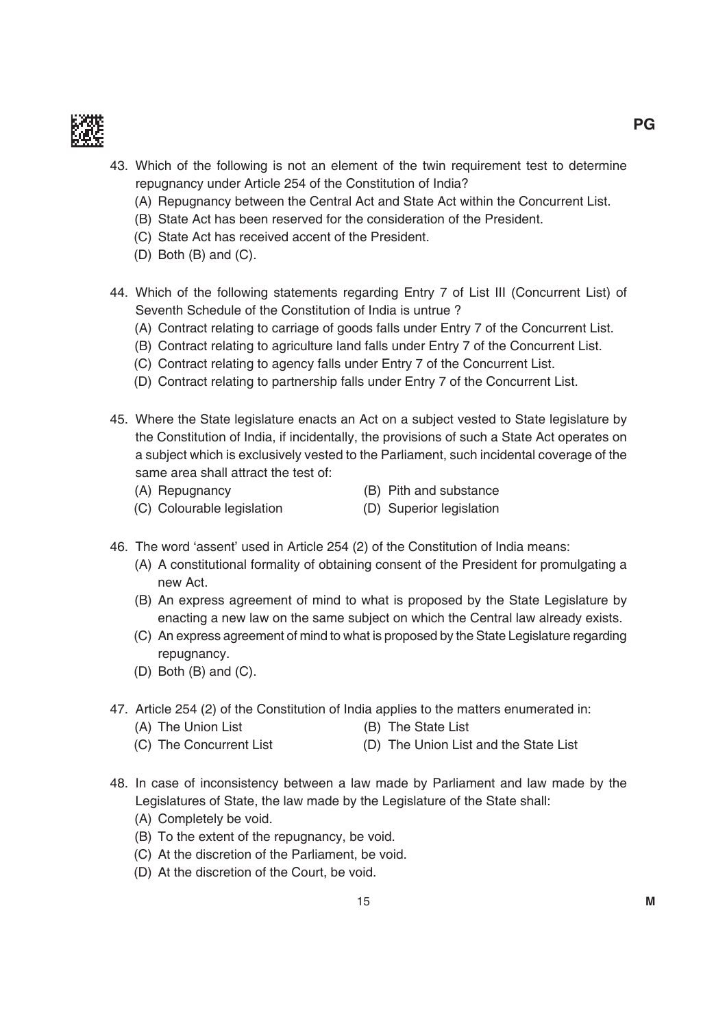

- 43. Which of the following is not an element of the twin requirement test to determine repugnancy under Article 254 of the Constitution of india?
	- (A) Repugnancy between the Central Act and State Act within the Concurrent List.
	- (b) State Act has been reserved for the consideration of the President.
	- (C) State Act has received accent of the President.
	- $(D)$  Both  $(B)$  and  $(C)$ .
- 44. Which of the following statements regarding Entry 7 of List III (Concurrent List) of Seventh Schedule of the Constitution of india is untrue ?
	- (A) Contract relating to carriage of goods falls under Entry 7 of the Concurrent List.
	- (B) Contract relating to agriculture land falls under Entry 7 of the Concurrent List.
	- (C) Contract relating to agency falls under Entry 7 of the Concurrent List.
	- (D) Contract relating to partnership falls under Entry 7 of the Concurrent List.
- 45. Where the State legislature enacts an Act on a subject vested to State legislature by the Constitution of india, if incidentally, the provisions of such a State Act operates on a subject which is exclusively vested to the Parliament, such incidental coverage of the same area shall attract the test of:
	-
	- (A) Repugnancy (B) Pith and substance
	- (C) Colourable legislation (D) Superior legislation
- 
- 46. the word 'assent' used in Article 254 (2) of the Constitution of india means:
	- (A) A constitutional formality of obtaining consent of the President for promulgating a new Act.
	- (b) An express agreement of mind to what is proposed by the State Legislature by enacting a new law on the same subject on which the Central law already exists.
	- (C) An express agreement of mind to what is proposed by the State Legislature regarding repugnancy.
	- $(D)$  Both  $(B)$  and  $(C)$ .
- 47. Article 254 (2) of the Constitution of india applies to the matters enumerated in:
	- (A) The Union List (B) The State List
	- (C) The Concurrent List (D) The Union List and the State List
- 48. in case of inconsistency between a law made by Parliament and law made by the Legislatures of State, the law made by the Legislature of the State shall:
	- (A) Completely be void.
	- (B) To the extent of the repugnancy, be void.
	- (C) At the discretion of the Parliament, be void.
	- (D) At the discretion of the Court, be void.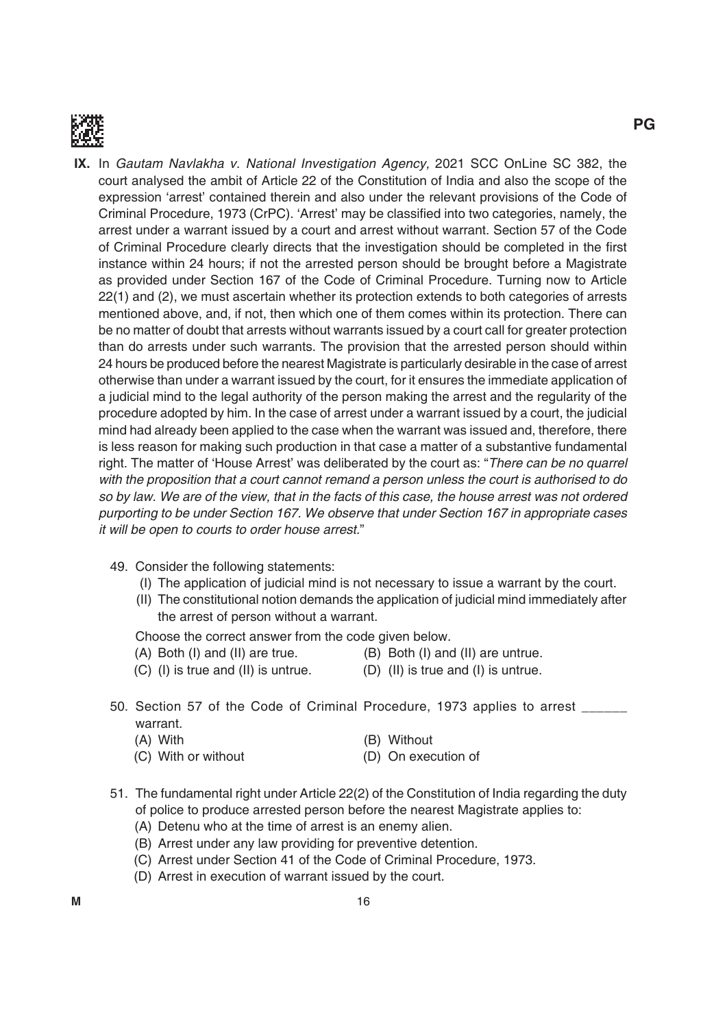

- **iX.** in Gautam Navlakha v. National Investigation Agency, 2021 SCC OnLine SC 382, the court analysed the ambit of Article 22 of the Constitution of india and also the scope of the expression 'arrest' contained therein and also under the relevant provisions of the Code of Criminal Procedure, 1973 (CrPC). 'Arrest' may be classified into two categories, namely, the arrest under a warrant issued by a court and arrest without warrant. Section 57 of the Code of Criminal Procedure clearly directs that the investigation should be completed in the first instance within 24 hours; if not the arrested person should be brought before a magistrate as provided under Section 167 of the Code of Criminal Procedure. Turning now to Article 22(1) and (2), we must ascertain whether its protection extends to both categories of arrests mentioned above, and, if not, then which one of them comes within its protection. There can be no matter of doubt that arrests without warrants issued by a court call for greater protection than do arrests under such warrants. The provision that the arrested person should within 24 hours be produced before the nearest magistrate is particularly desirable in the case of arrest otherwise than under a warrant issued by the court, for it ensures the immediate application of a judicial mind to the legal authority of the person making the arrest and the regularity of the procedure adopted by him. in the case of arrest under a warrant issued by a court, the judicial mind had already been applied to the case when the warrant was issued and, therefore, there is less reason for making such production in that case a matter of a substantive fundamental right. The matter of 'House Arrest' was deliberated by the court as: "There can be no quarrel with the proposition that a court cannot remand a person unless the court is authorised to do so by law. We are of the view, that in the facts of this case, the house arrest was not ordered purporting to be under Section 167. We observe that under Section 167 in appropriate cases it will be open to courts to order house arrest."
	- 49. Consider the following statements:
		- (i) the application of judicial mind is not necessary to issue a warrant by the court.
		- (ii) the constitutional notion demands the application of judicial mind immediately after the arrest of person without a warrant.

Choose the correct answer from the code given below.

- 
- $(A)$  Both (I) and (II) are true.  $(B)$  Both (I) and (II) are untrue.
- $(C)$  (I) is true and (II) is untrue.  $(D)$  (II) is true and (I) is untrue.
- 
- 50. Section 57 of the Code of Criminal Procedure, 1973 applies to arrest \_\_\_\_\_\_ warrant.

| (A) With            | (B) Without         |
|---------------------|---------------------|
| (C) With or without | (D) On execution of |

- 51. The fundamental right under Article 22(2) of the Constitution of India regarding the duty of police to produce arrested person before the nearest magistrate applies to:
	- (A) Detenu who at the time of arrest is an enemy alien.
	- (b) Arrest under any law providing for preventive detention.
	- (C) Arrest under Section 41 of the Code of Criminal Procedure, 1973.
	- (D) Arrest in execution of warrant issued by the court.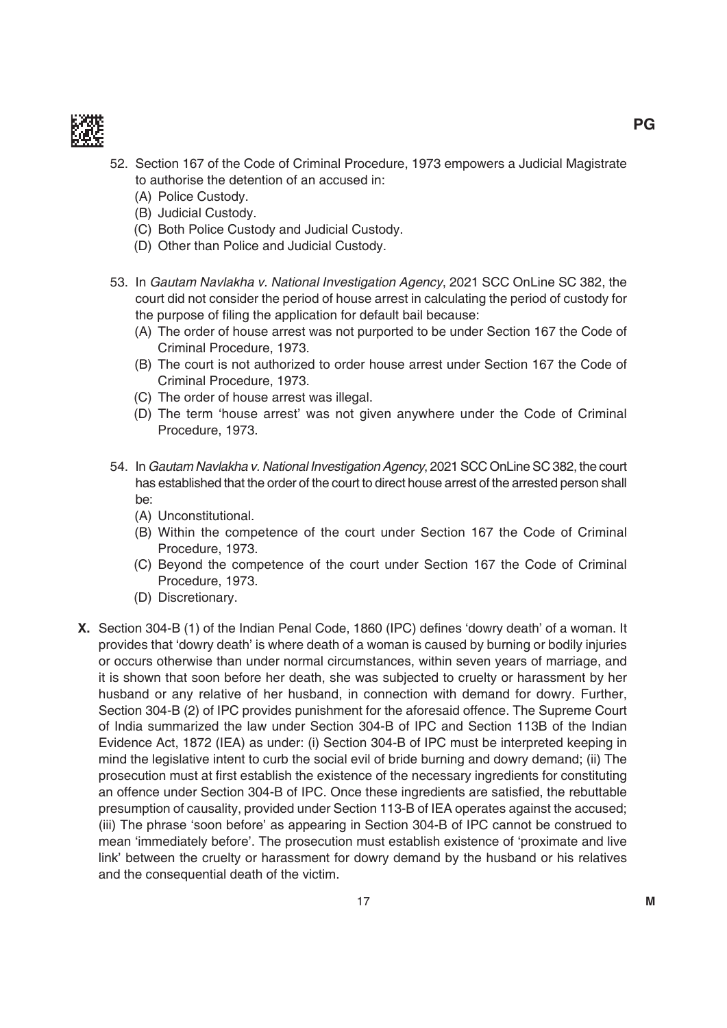

- 52. Section 167 of the Code of Criminal Procedure, 1973 empowers a Judicial magistrate to authorise the detention of an accused in:
	- (A) Police Custody.
	- (b) Judicial Custody.
	- (C) both Police Custody and Judicial Custody.
	- (D) Other than Police and Judicial Custody.
- 53. in Gautam Navlakha v. National Investigation Agency, 2021 SCC OnLine SC 382, the court did not consider the period of house arrest in calculating the period of custody for the purpose of filing the application for default bail because:
	- (A) The order of house arrest was not purported to be under Section 167 the Code of Criminal Procedure, 1973.
	- (B) The court is not authorized to order house arrest under Section 167 the Code of Criminal Procedure, 1973.
	- (C) The order of house arrest was illegal.
	- (d) the term 'house arrest' was not given anywhere under the Code of Criminal Procedure, 1973.
- 54. in Gautam Navlakha v. National Investigation Agency, 2021 SCC OnLine SC 382, the court has established that the order of the court to direct house arrest of the arrested person shall be:
	- (A) Unconstitutional.
	- (b) Within the competence of the court under Section 167 the Code of Criminal Procedure, 1973.
	- (C) beyond the competence of the court under Section 167 the Code of Criminal Procedure, 1973.
	- (D) Discretionary.
- **X.** Section 304-B (1) of the Indian Penal Code, 1860 (IPC) defines 'dowry death' of a woman. It provides that 'dowry death' is where death of a woman is caused by burning or bodily injuries or occurs otherwise than under normal circumstances, within seven years of marriage, and it is shown that soon before her death, she was subjected to cruelty or harassment by her husband or any relative of her husband, in connection with demand for dowry. Further, Section 304-B (2) of IPC provides punishment for the aforesaid offence. The Supreme Court of India summarized the law under Section 304-B of IPC and Section 113B of the Indian Evidence Act, 1872 (IEA) as under: (i) Section 304-B of IPC must be interpreted keeping in mind the legislative intent to curb the social evil of bride burning and dowry demand; (ii) The prosecution must at first establish the existence of the necessary ingredients for constituting an offence under Section 304-B of IPC. Once these ingredients are satisfied, the rebuttable presumption of causality, provided under Section 113-B of IEA operates against the accused; (iii) the phrase 'soon before' as appearing in Section 304-b of iPC cannot be construed to mean 'immediately before'. The prosecution must establish existence of 'proximate and live link' between the cruelty or harassment for dowry demand by the husband or his relatives and the consequential death of the victim.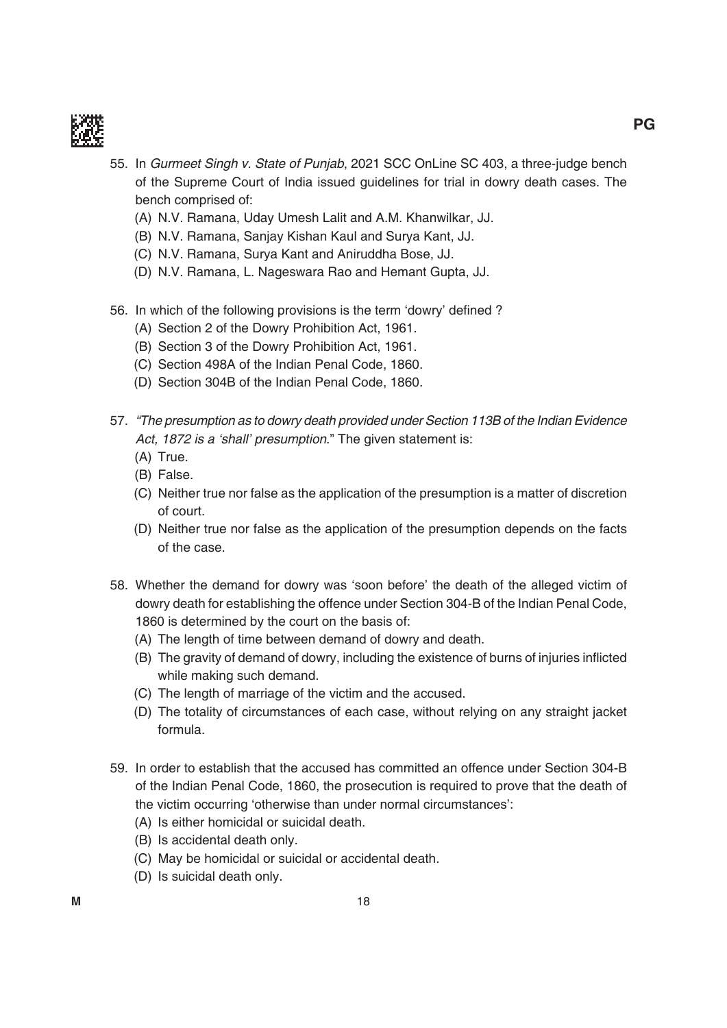

- 55. in Gurmeet Singh v. State of Punjab, 2021 SCC OnLine SC 403, a three-judge bench of the Supreme Court of india issued guidelines for trial in dowry death cases. the bench comprised of:
	- (A) N.V. Ramana, Uday Umesh Lalit and A.M. Khanwilkar, JJ.
	- (B) N.V. Ramana, Sanjay Kishan Kaul and Surya Kant, JJ.
	- (C) N.V. Ramana, Surya Kant and Aniruddha Bose, JJ.
	- (D) N.V. Ramana, L. Nageswara Rao and Hemant Gupta, JJ.
- 56. In which of the following provisions is the term 'dowry' defined?
	- (A) Section 2 of the Dowry Prohibition Act, 1961.
	- (B) Section 3 of the Dowry Prohibition Act, 1961.
	- (C) Section 498A of the indian Penal Code, 1860.
	- (D) Section 304B of the Indian Penal Code, 1860.
- 57. "The presumption as to dowry death provided under Section 113B of the Indian Evidence Act, 1872 is a 'shall' presumption." The given statement is:
	- $(A)$  True.
	- (b) False.
	- (C) Neither true nor false as the application of the presumption is a matter of discretion of court.
	- (d) Neither true nor false as the application of the presumption depends on the facts of the case.
- 58. Whether the demand for dowry was 'soon before' the death of the alleged victim of dowry death for establishing the offence under Section 304-B of the Indian Penal Code, 1860 is determined by the court on the basis of:
	- (A) The length of time between demand of dowry and death.
	- (B) The gravity of demand of dowry, including the existence of burns of injuries inflicted while making such demand.
	- (C) The length of marriage of the victim and the accused.
	- (D) The totality of circumstances of each case, without relying on any straight jacket formula.
- 59. in order to establish that the accused has committed an offence under Section 304-b of the indian Penal Code, 1860, the prosecution is required to prove that the death of the victim occurring 'otherwise than under normal circumstances':
	- (A) is either homicidal or suicidal death.
	- (B) Is accidental death only.
	- (C) may be homicidal or suicidal or accidental death.
	- (D) Is suicidal death only.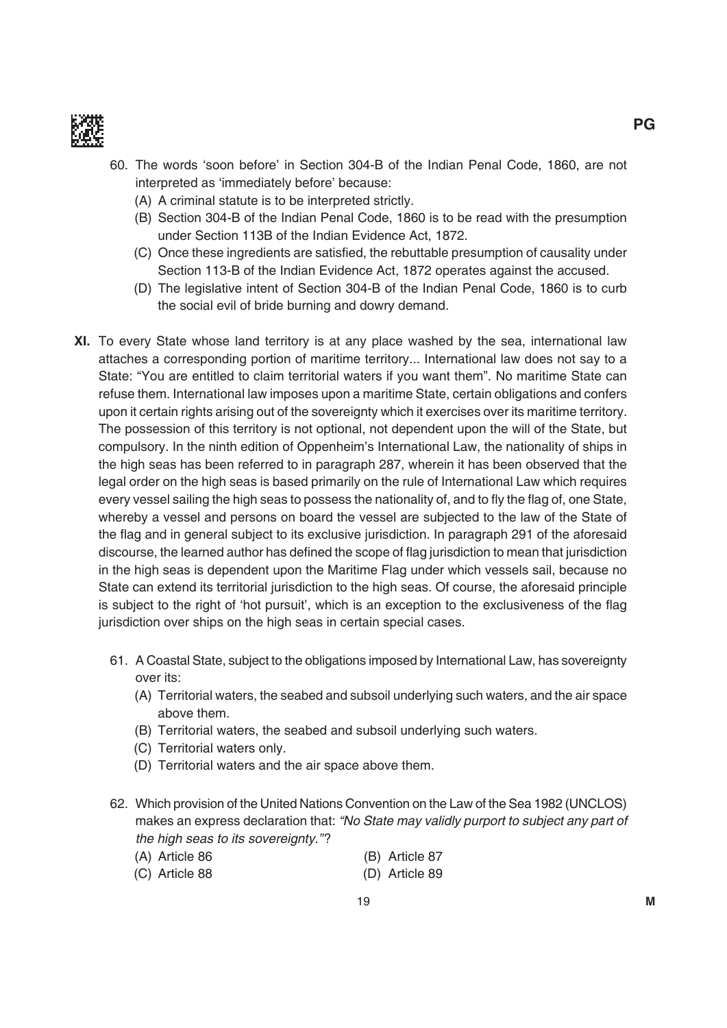

- 60. the words 'soon before' in Section 304-b of the indian Penal Code, 1860, are not interpreted as 'immediately before' because:
	- (A) A criminal statute is to be interpreted strictly.
	- (b) Section 304-b of the indian Penal Code, 1860 is to be read with the presumption under Section 113B of the Indian Evidence Act, 1872.
	- (C) Once these ingredients are satisfied, the rebuttable presumption of causality under Section 113-B of the Indian Evidence Act, 1872 operates against the accused.
	- (D) The legislative intent of Section 304-B of the Indian Penal Code, 1860 is to curb the social evil of bride burning and dowry demand.
- **XI.** To every State whose land territory is at any place washed by the sea, international law attaches a corresponding portion of maritime territory... international law does not say to a State: "You are entitled to claim territorial waters if you want them". No maritime State can refuse them. international law imposes upon a maritime State, certain obligations and confers upon it certain rights arising out of the sovereignty which it exercises over its maritime territory. The possession of this territory is not optional, not dependent upon the will of the State, but compulsory. in the ninth edition of Oppenheim's international Law, the nationality of ships in the high seas has been referred to in paragraph 287, wherein it has been observed that the legal order on the high seas is based primarily on the rule of international Law which requires every vessel sailing the high seas to possess the nationality of, and to fly the flag of, one State, whereby a vessel and persons on board the vessel are subjected to the law of the State of the flag and in general subject to its exclusive jurisdiction. In paragraph 291 of the aforesaid discourse, the learned author has defined the scope of flag jurisdiction to mean that jurisdiction in the high seas is dependent upon the Maritime Flag under which vessels sail, because no State can extend its territorial jurisdiction to the high seas. Of course, the aforesaid principle is subject to the right of 'hot pursuit', which is an exception to the exclusiveness of the flag jurisdiction over ships on the high seas in certain special cases.
	- 61. A Coastal State, subject to the obligations imposed by international Law, has sovereignty over its:
		- (A) Territorial waters, the seabed and subsoil underlying such waters, and the air space above them.
		- (B) Territorial waters, the seabed and subsoil underlying such waters.
		- (C) Territorial waters only.
		- (D) Territorial waters and the air space above them.
	- 62. Which provision of the United Nations Convention on the Law of the Sea 1982 (UNCLOS) makes an express declaration that: "No State may validly purport to subject any part of the high seas to its sovereignty."?

| (A) Article 86 | (B) Article 87 |
|----------------|----------------|
| (C) Article 88 | (D) Article 89 |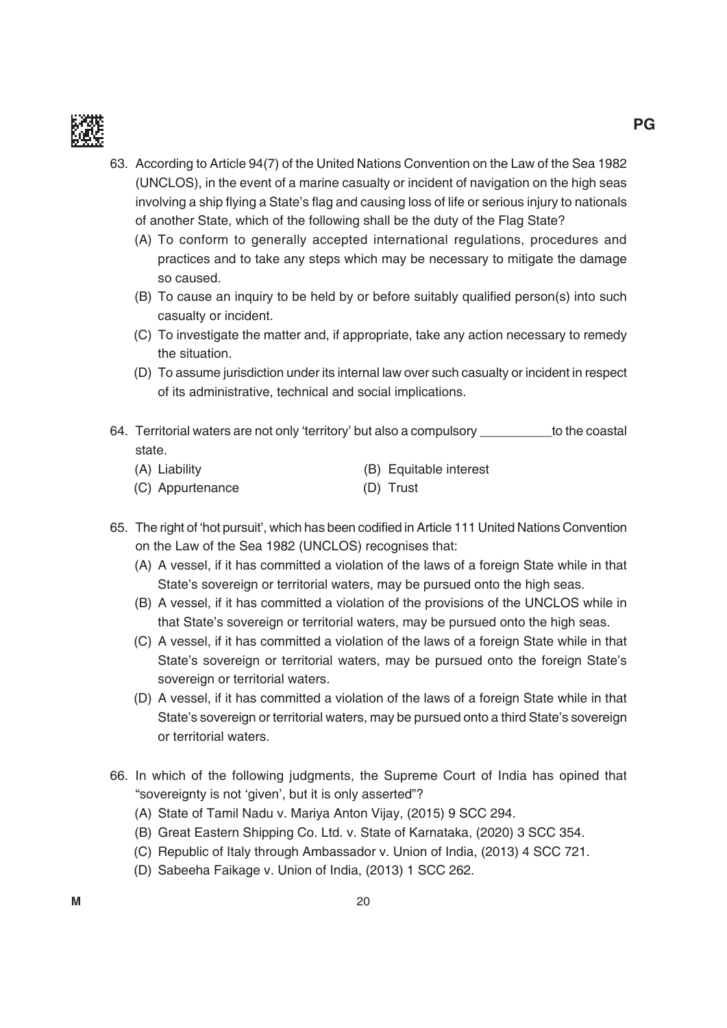

- 63. According to Article 94(7) of the United Nations Convention on the Law of the Sea 1982 (uNCLOS), in the event of a marine casualty or incident of navigation on the high seas involving a ship flying a State's flag and causing loss of life or serious injury to nationals of another State, which of the following shall be the duty of the Flag State?
	- (A) To conform to generally accepted international regulations, procedures and practices and to take any steps which may be necessary to mitigate the damage so caused.
	- (B) To cause an inquiry to be held by or before suitably qualified person(s) into such casualty or incident.
	- (C) to investigate the matter and, if appropriate, take any action necessary to remedy the situation.
	- (D) To assume jurisdiction under its internal law over such casualty or incident in respect of its administrative, technical and social implications.
- 64. Territorial waters are not only 'territory' but also a compulsory electron to the coastal state.
	- (A) Liability (B) Equitable interest (C) Appurtenance (D) Trust
- 65. The right of 'hot pursuit', which has been codified in Article 111 United Nations Convention on the Law of the Sea 1982 (uNCLOS) recognises that:
	- (A) A vessel, if it has committed a violation of the laws of a foreign State while in that State's sovereign or territorial waters, may be pursued onto the high seas.
	- (B) A vessel, if it has committed a violation of the provisions of the UNCLOS while in that State's sovereign or territorial waters, may be pursued onto the high seas.
	- (C) A vessel, if it has committed a violation of the laws of a foreign State while in that State's sovereign or territorial waters, may be pursued onto the foreign State's sovereign or territorial waters.
	- (D) A vessel, if it has committed a violation of the laws of a foreign State while in that State's sovereign or territorial waters, may be pursued onto a third State's sovereign or territorial waters.
- 66. in which of the following judgments, the Supreme Court of india has opined that "sovereignty is not 'given', but it is only asserted"?
	- (A) State of Tamil Nadu v. Mariya Anton Vijay, (2015) 9 SCC 294.
	- (B) Great Eastern Shipping Co. Ltd. v. State of Karnataka, (2020) 3 SCC 354.
	- (C) Republic of Italy through Ambassador v. Union of India, (2013) 4 SCC 721.
	- (D) Sabeeha Faikage v. Union of India, (2013) 1 SCC 262.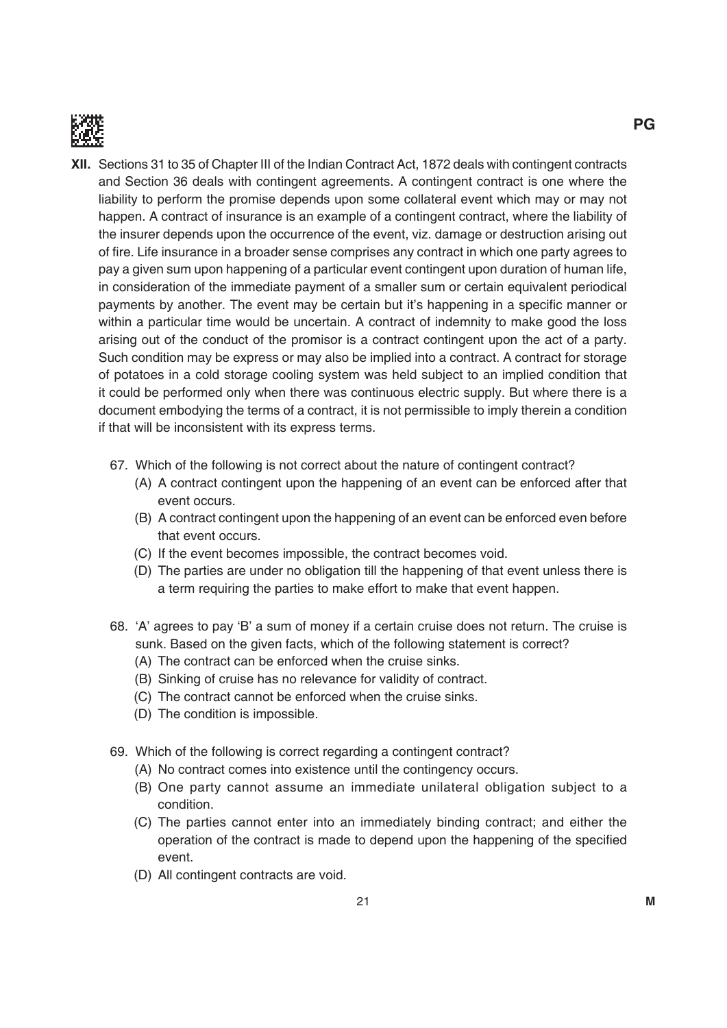

- **XII.** Sections 31 to 35 of Chapter III of the Indian Contract Act, 1872 deals with contingent contracts and Section 36 deals with contingent agreements. A contingent contract is one where the liability to perform the promise depends upon some collateral event which may or may not happen. A contract of insurance is an example of a contingent contract, where the liability of the insurer depends upon the occurrence of the event, viz. damage or destruction arising out of fire. Life insurance in a broader sense comprises any contract in which one party agrees to pay a given sum upon happening of a particular event contingent upon duration of human life, in consideration of the immediate payment of a smaller sum or certain equivalent periodical payments by another. The event may be certain but it's happening in a specific manner or within a particular time would be uncertain. A contract of indemnity to make good the loss arising out of the conduct of the promisor is a contract contingent upon the act of a party. Such condition may be express or may also be implied into a contract. A contract for storage of potatoes in a cold storage cooling system was held subject to an implied condition that it could be performed only when there was continuous electric supply. But where there is a document embodying the terms of a contract, it is not permissible to imply therein a condition if that will be inconsistent with its express terms.
	- 67. Which of the following is not correct about the nature of contingent contract?
		- (A) A contract contingent upon the happening of an event can be enforced after that event occurs.
		- (b) A contract contingent upon the happening of an event can be enforced even before that event occurs.
		- (C) if the event becomes impossible, the contract becomes void.
		- (D) The parties are under no obligation till the happening of that event unless there is a term requiring the parties to make effort to make that event happen.
	- 68. 'A' agrees to pay 'B' a sum of money if a certain cruise does not return. The cruise is sunk. Based on the given facts, which of the following statement is correct?
		- (A) The contract can be enforced when the cruise sinks.
		- (b) Sinking of cruise has no relevance for validity of contract.
		- (C) The contract cannot be enforced when the cruise sinks.
		- (D) The condition is impossible.
	- 69. Which of the following is correct regarding a contingent contract?
		- (A) No contract comes into existence until the contingency occurs.
		- (b) One party cannot assume an immediate unilateral obligation subject to a condition.
		- (C) the parties cannot enter into an immediately binding contract; and either the operation of the contract is made to depend upon the happening of the specified event.
		- (D) All contingent contracts are void.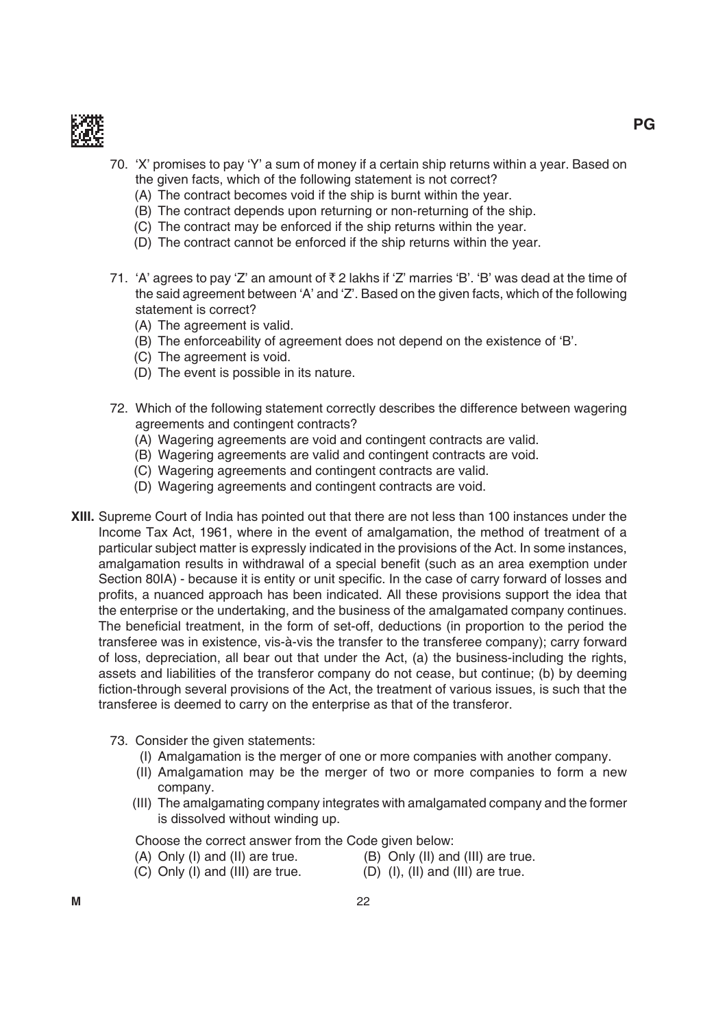

- 70. 'X' promises to pay 'Y' a sum of money if a certain ship returns within a year. Based on the given facts, which of the following statement is not correct?
	- (A) The contract becomes void if the ship is burnt within the year.
	- (B) The contract depends upon returning or non-returning of the ship.
	- (C) The contract may be enforced if the ship returns within the year.
	- (D) The contract cannot be enforced if the ship returns within the year.
- 71. 'A' agrees to pay 'Z' an amount of  $\bar{\tau}$  2 lakhs if 'Z' marries 'B'. 'B' was dead at the time of the said agreement between 'A' and 'Z'. based on the given facts, which of the following statement is correct?
	- (A) The agreement is valid.
	- (B) The enforceability of agreement does not depend on the existence of 'B'.
	- (C) The agreement is void.
	- (D) The event is possible in its nature.
- 72. Which of the following statement correctly describes the difference between wagering agreements and contingent contracts?
	- (A) Wagering agreements are void and contingent contracts are valid.
	- (b) Wagering agreements are valid and contingent contracts are void.
	- (C) Wagering agreements and contingent contracts are valid.
	- (D) Wagering agreements and contingent contracts are void.
- **Xiii.** Supreme Court of india has pointed out that there are not less than 100 instances under the Income Tax Act, 1961, where in the event of amalgamation, the method of treatment of a particular subject matter is expressly indicated in the provisions of the Act. in some instances, amalgamation results in withdrawal of a special benefit (such as an area exemption under Section 80IA) - because it is entity or unit specific. In the case of carry forward of losses and profits, a nuanced approach has been indicated. All these provisions support the idea that the enterprise or the undertaking, and the business of the amalgamated company continues. The beneficial treatment, in the form of set-off, deductions (in proportion to the period the transferee was in existence, vis-à-vis the transfer to the transferee company); carry forward of loss, depreciation, all bear out that under the Act, (a) the business-including the rights, assets and liabilities of the transferor company do not cease, but continue; (b) by deeming fiction-through several provisions of the Act, the treatment of various issues, is such that the transferee is deemed to carry on the enterprise as that of the transferor.
	- 73. Consider the given statements:
		- (i) Amalgamation is the merger of one or more companies with another company.
		- (ii) Amalgamation may be the merger of two or more companies to form a new company.
		- (iii) the amalgamating company integrates with amalgamated company and the former is dissolved without winding up.

Choose the correct answer from the Code given below:

- $(A)$  Only  $(I)$  and  $(II)$  are true.  $(B)$  Only  $(II)$  and  $(III)$  are true.
	-
- $(C)$  Only (I) and (III) are true.  $(D)$  (I), (II) and (III) are true.
-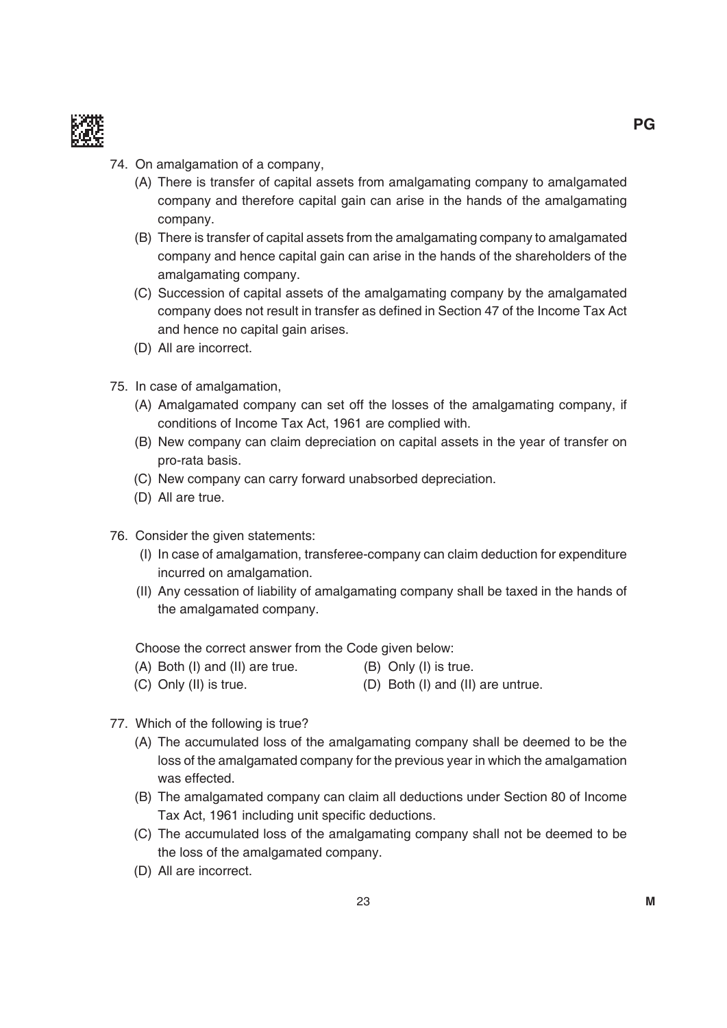

- 74. On amalgamation of a company,
	- (A) there is transfer of capital assets from amalgamating company to amalgamated company and therefore capital gain can arise in the hands of the amalgamating company.
	- (b) there is transfer of capital assets from the amalgamating company to amalgamated company and hence capital gain can arise in the hands of the shareholders of the amalgamating company.
	- (C) Succession of capital assets of the amalgamating company by the amalgamated company does not result in transfer as defined in Section 47 of the Income Tax Act and hence no capital gain arises.
	- (D) All are incorrect.
- 75. in case of amalgamation,
	- (A) Amalgamated company can set off the losses of the amalgamating company, if conditions of Income Tax Act, 1961 are complied with.
	- (b) New company can claim depreciation on capital assets in the year of transfer on pro-rata basis.
	- (C) New company can carry forward unabsorbed depreciation.
	- (D) All are true.
- 76. Consider the given statements:
	- (i) in case of amalgamation, transferee-company can claim deduction for expenditure incurred on amalgamation.
	- (ii) Any cessation of liability of amalgamating company shall be taxed in the hands of the amalgamated company.

Choose the correct answer from the Code given below:

- $(A)$  Both (I) and (II) are true.  $(B)$  Only (I) is true.
- $(C)$  Only (II) is true.  $(D)$  Both (I) and (II) are untrue.
- 77. Which of the following is true?
	- (A) The accumulated loss of the amalgamating company shall be deemed to be the loss of the amalgamated company for the previous year in which the amalgamation was effected.
	- (b) the amalgamated company can claim all deductions under Section 80 of income Tax Act, 1961 including unit specific deductions.
	- (C) the accumulated loss of the amalgamating company shall not be deemed to be the loss of the amalgamated company.
	- (D) All are incorrect.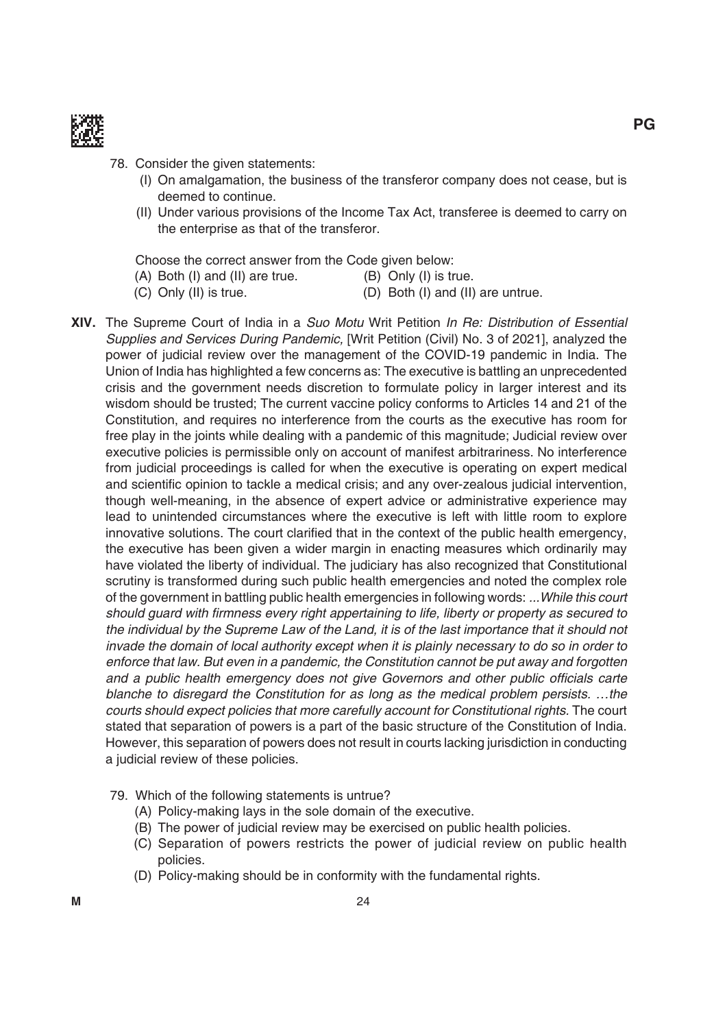

- 78. Consider the given statements:
	- (i) On amalgamation, the business of the transferor company does not cease, but is deemed to continue.
	- (II) Under various provisions of the Income Tax Act, transferee is deemed to carry on the enterprise as that of the transferor.

Choose the correct answer from the Code given below:

- $(A)$  Both (I) and (II) are true.  $(B)$  Only (I) is true.
- $(C)$  Only (II) is true.  $(D)$  Both (I) and (II) are untrue.
	-
- **Xiv.** the Supreme Court of india in a Suo Motu Writ Petition In Re: Distribution of Essential Supplies and Services During Pandemic, [Writ Petition (Civil) No. 3 of 2021], analyzed the power of judicial review over the management of the COVID-19 pandemic in India. The Union of India has highlighted a few concerns as: The executive is battling an unprecedented crisis and the government needs discretion to formulate policy in larger interest and its wisdom should be trusted; The current vaccine policy conforms to Articles 14 and 21 of the Constitution, and requires no interference from the courts as the executive has room for free play in the joints while dealing with a pandemic of this magnitude; Judicial review over executive policies is permissible only on account of manifest arbitrariness. No interference from judicial proceedings is called for when the executive is operating on expert medical and scientific opinion to tackle a medical crisis; and any over-zealous judicial intervention, though well-meaning, in the absence of expert advice or administrative experience may lead to unintended circumstances where the executive is left with little room to explore innovative solutions. The court clarified that in the context of the public health emergency, the executive has been given a wider margin in enacting measures which ordinarily may have violated the liberty of individual. The judiciary has also recognized that Constitutional scrutiny is transformed during such public health emergencies and noted the complex role of the government in battling public health emergencies in following words: ...While this court should guard with firmness every right appertaining to life, liberty or property as secured to the individual by the Supreme Law of the Land, it is of the last importance that it should not invade the domain of local authority except when it is plainly necessary to do so in order to enforce that law. But even in a pandemic, the Constitution cannot be put away and forgotten and a public health emergency does not give Governors and other public officials carte blanche to disregard the Constitution for as long as the medical problem persists. …the courts should expect policies that more carefully account for Constitutional rights. The court stated that separation of powers is a part of the basic structure of the Constitution of india. However, this separation of powers does not result in courts lacking jurisdiction in conducting a judicial review of these policies.
	- 79. Which of the following statements is untrue?
		- (A) Policy-making lays in the sole domain of the executive.
		- (B) The power of judicial review may be exercised on public health policies.
		- (C) Separation of powers restricts the power of judicial review on public health policies.
		- (D) Policy-making should be in conformity with the fundamental rights.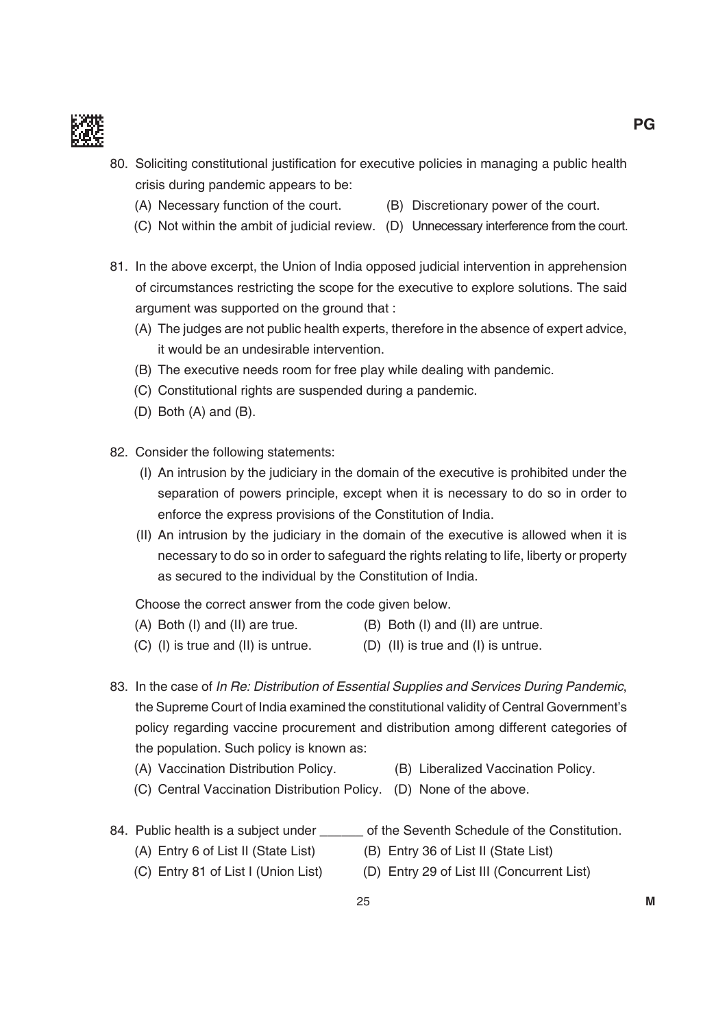

- 80. Soliciting constitutional justification for executive policies in managing a public health crisis during pandemic appears to be:
	- (A) Necessary function of the court. (B) Discretionary power of the court.
	- (C) Not within the ambit of judicial review. (D) Unnecessary interference from the court.
- 81. In the above excerpt, the Union of India opposed judicial intervention in apprehension of circumstances restricting the scope for the executive to explore solutions. the said argument was supported on the ground that :
	- (A) The judges are not public health experts, therefore in the absence of expert advice, it would be an undesirable intervention.
	- (B) The executive needs room for free play while dealing with pandemic.
	- (C) Constitutional rights are suspended during a pandemic.
	- $(D)$  Both  $(A)$  and  $(B)$ .
- 82. Consider the following statements:
	- (i) An intrusion by the judiciary in the domain of the executive is prohibited under the separation of powers principle, except when it is necessary to do so in order to enforce the express provisions of the Constitution of india.
	- (ii) An intrusion by the judiciary in the domain of the executive is allowed when it is necessary to do so in order to safeguard the rights relating to life, liberty or property as secured to the individual by the Constitution of india.

Choose the correct answer from the code given below.

- $(A)$  Both (I) and (II) are true.  $(B)$  Both (I) and (II) are untrue.
- $(C)$  (I) is true and (II) is untrue.  $(D)$  (II) is true and (I) is untrue.
- 83. In the case of In Re: Distribution of Essential Supplies and Services During Pandemic, the Supreme Court of india examined the constitutional validity of Central Government's policy regarding vaccine procurement and distribution among different categories of the population. Such policy is known as:
	- (A) Vaccination Distribution Policy. (B) Liberalized Vaccination Policy.
	- (C) Central Vaccination Distribution Policy. (D) None of the above.
- 
- 84. Public health is a subject under \_\_\_\_\_\_ of the Seventh Schedule of the Constitution.
	- (A) Entry 6 of List II (State List) (B) Entry 36 of List II (State List)
		-
	- (C) Entry 81 of List I (Union List) (D) Entry 29 of List III (Concurrent List)
-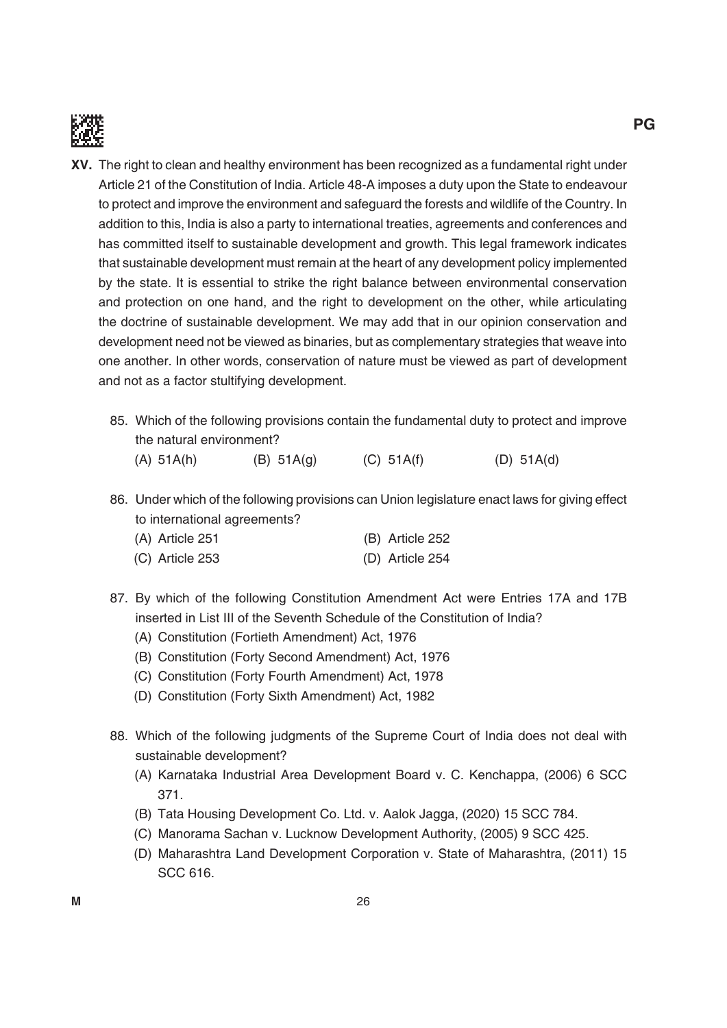

- **Xv.** the right to clean and healthy environment has been recognized as a fundamental right under Article 21 of the Constitution of india. Article 48-A imposes a duty upon the State to endeavour to protect and improve the environment and safeguard the forests and wildlife of the Country. in addition to this, india is also a party to international treaties, agreements and conferences and has committed itself to sustainable development and growth. This legal framework indicates that sustainable development must remain at the heart of any development policy implemented by the state. it is essential to strike the right balance between environmental conservation and protection on one hand, and the right to development on the other, while articulating the doctrine of sustainable development. We may add that in our opinion conservation and development need not be viewed as binaries, but as complementary strategies that weave into one another. in other words, conservation of nature must be viewed as part of development and not as a factor stultifying development.
	- 85. Which of the following provisions contain the fundamental duty to protect and improve the natural environment?

(A)  $51A(h)$  (B)  $51A(g)$  (C)  $51A(f)$  (D)  $51A(d)$ 

86. Under which of the following provisions can Union legislature enact laws for giving effect to international agreements?

| (A) Article 251 | (B) Article 252 |
|-----------------|-----------------|
| (C) Article 253 | (D) Article 254 |

- 87. By which of the following Constitution Amendment Act were Entries 17A and 17B inserted in List III of the Seventh Schedule of the Constitution of India?
	- (A) Constitution (Fortieth Amendment) Act, 1976
	- (b) Constitution (Forty Second Amendment) Act, 1976
	- (C) Constitution (Forty Fourth Amendment) Act, 1978
	- (D) Constitution (Forty Sixth Amendment) Act, 1982
- 88. Which of the following judgments of the Supreme Court of india does not deal with sustainable development?
	- (A) Karnataka industrial Area development board v. C. Kenchappa, (2006) 6 SCC 371.
	- (B) Tata Housing Development Co. Ltd. v. Aalok Jagga, (2020) 15 SCC 784.
	- (C) manorama Sachan v. Lucknow development Authority, (2005) 9 SCC 425.
	- (D) Maharashtra Land Development Corporation v. State of Maharashtra, (2011) 15 SCC 616.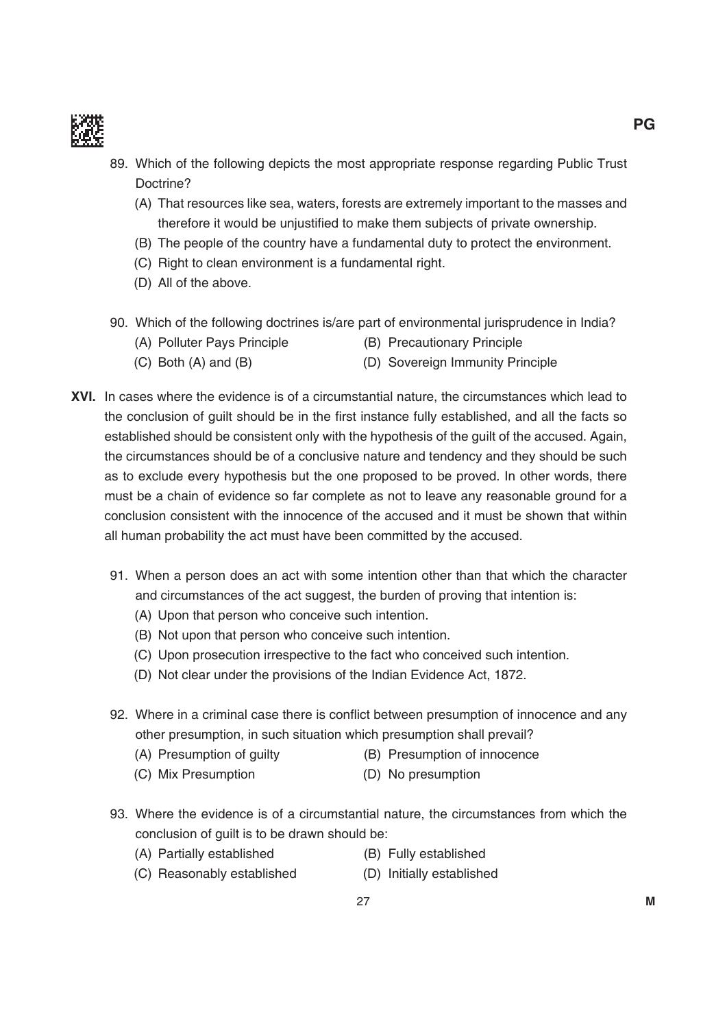

- 89. Which of the following depicts the most appropriate response regarding Public Trust Doctrine?
	- (A) That resources like sea, waters, forests are extremely important to the masses and therefore it would be unjustified to make them subjects of private ownership.
	- (b) the people of the country have a fundamental duty to protect the environment.
	- (C) Right to clean environment is a fundamental right.
	- (D) All of the above.
- 90. Which of the following doctrines is/are part of environmental jurisprudence in india?
	- (A) Polluter Pays Principle (B) Precautionary Principle
	- (C) Both (A) and (B) (D) Sovereign Immunity Principle
- **Xvi.** in cases where the evidence is of a circumstantial nature, the circumstances which lead to the conclusion of guilt should be in the first instance fully established, and all the facts so established should be consistent only with the hypothesis of the guilt of the accused. Again, the circumstances should be of a conclusive nature and tendency and they should be such as to exclude every hypothesis but the one proposed to be proved. in other words, there must be a chain of evidence so far complete as not to leave any reasonable ground for a conclusion consistent with the innocence of the accused and it must be shown that within all human probability the act must have been committed by the accused.
	- 91. When a person does an act with some intention other than that which the character and circumstances of the act suggest, the burden of proving that intention is:
		- (A) Upon that person who conceive such intention.
		- (B) Not upon that person who conceive such intention.
		- (C) Upon prosecution irrespective to the fact who conceived such intention.
		- (D) Not clear under the provisions of the Indian Evidence Act, 1872.
	- 92. Where in a criminal case there is conflict between presumption of innocence and any other presumption, in such situation which presumption shall prevail?
		- (A) Presumption of guilty (B) Presumption of innocence
		- (C) Mix Presumption (D) No presumption
	- 93. Where the evidence is of a circumstantial nature, the circumstances from which the conclusion of guilt is to be drawn should be:
		- (A) Partially established (B) Fully established
		- (C) Reasonably established (D) Initially established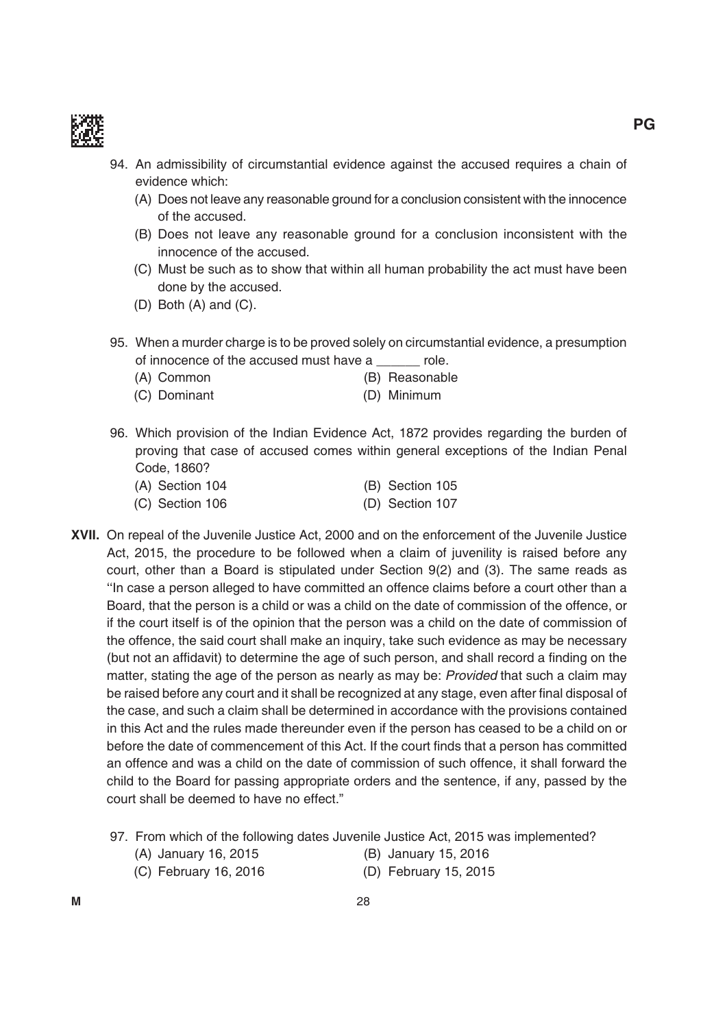

- 94. An admissibility of circumstantial evidence against the accused requires a chain of evidence which:
	- (A) Does not leave any reasonable ground for a conclusion consistent with the innocence of the accused.
	- (B) Does not leave any reasonable ground for a conclusion inconsistent with the innocence of the accused.
	- (C) must be such as to show that within all human probability the act must have been done by the accused.
	- $(D)$  Both  $(A)$  and  $(C)$ .
- 95. When a murder charge is to be proved solely on circumstantial evidence, a presumption of innocence of the accused must have a cole.
	- (A) Common (B) Reasonable
	- (C) Dominant (D) Minimum
- 96. Which provision of the Indian Evidence Act, 1872 provides regarding the burden of proving that case of accused comes within general exceptions of the indian Penal Code, 1860?

| (A) Section 104 | (B) Section 105 |  |
|-----------------|-----------------|--|
| (C) Section 106 | (D) Section 107 |  |

- **Xvii.** On repeal of the Juvenile Justice Act, 2000 and on the enforcement of the Juvenile Justice Act, 2015, the procedure to be followed when a claim of juvenility is raised before any court, other than a Board is stipulated under Section  $9(2)$  and  $(3)$ . The same reads as ''in case a person alleged to have committed an offence claims before a court other than a board, that the person is a child or was a child on the date of commission of the offence, or if the court itself is of the opinion that the person was a child on the date of commission of the offence, the said court shall make an inquiry, take such evidence as may be necessary (but not an affidavit) to determine the age of such person, and shall record a finding on the matter, stating the age of the person as nearly as may be: *Provided* that such a claim may be raised before any court and it shall be recognized at any stage, even after final disposal of the case, and such a claim shall be determined in accordance with the provisions contained in this Act and the rules made thereunder even if the person has ceased to be a child on or before the date of commencement of this Act. If the court finds that a person has committed an offence and was a child on the date of commission of such offence, it shall forward the child to the board for passing appropriate orders and the sentence, if any, passed by the court shall be deemed to have no effect."
	- 97. From which of the following dates Juvenile Justice Act, 2015 was implemented?
		- (A) January 16, 2015 (b) January 15, 2016
			-
		- (C) February 16, 2016 (D) February 15, 2015
			-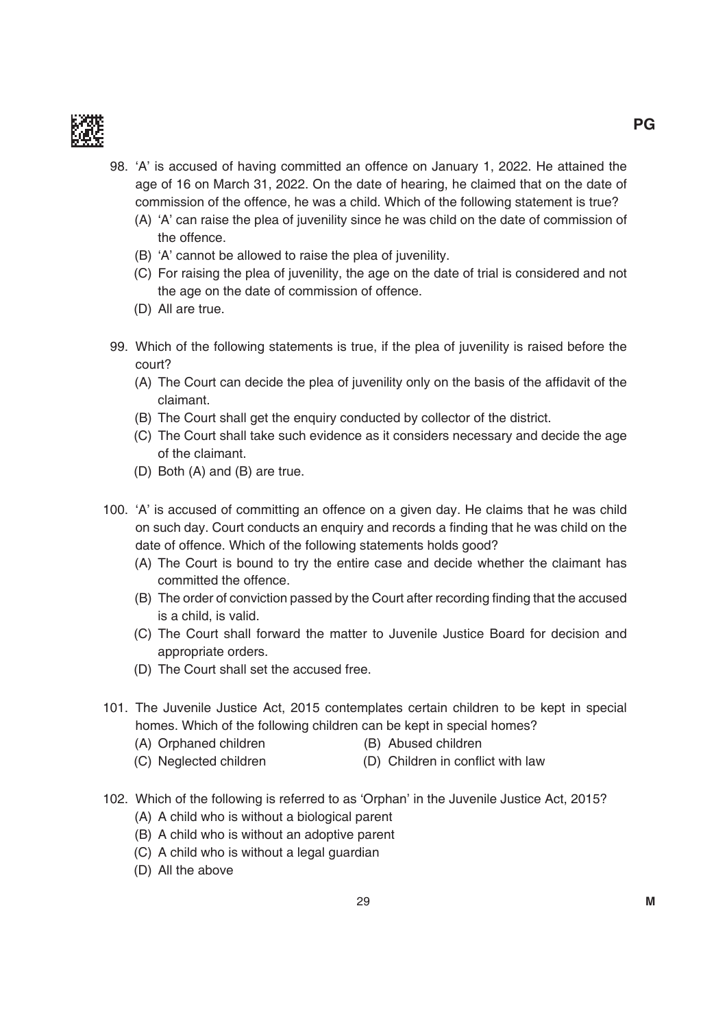

- 98. 'A' is accused of having committed an offence on January 1, 2022. He attained the age of 16 on march 31, 2022. On the date of hearing, he claimed that on the date of commission of the offence, he was a child. Which of the following statement is true?
	- (A) 'A' can raise the plea of juvenility since he was child on the date of commission of the offence.
	- (b) 'A' cannot be allowed to raise the plea of juvenility.
	- (C) For raising the plea of juvenility, the age on the date of trial is considered and not the age on the date of commission of offence.
	- (D) All are true.
- 99. Which of the following statements is true, if the plea of juvenility is raised before the court?
	- (A) The Court can decide the plea of juvenility only on the basis of the affidavit of the claimant.
	- (B) The Court shall get the enquiry conducted by collector of the district.
	- (C) the Court shall take such evidence as it considers necessary and decide the age of the claimant.
	- $(D)$  Both  $(A)$  and  $(B)$  are true.
- 100. 'A' is accused of committing an offence on a given day. He claims that he was child on such day. Court conducts an enquiry and records a finding that he was child on the date of offence. Which of the following statements holds good?
	- (A) the Court is bound to try the entire case and decide whether the claimant has committed the offence.
	- (B) The order of conviction passed by the Court after recording finding that the accused is a child, is valid.
	- (C) the Court shall forward the matter to Juvenile Justice board for decision and appropriate orders.
	- (D) The Court shall set the accused free.
- 101. The Juvenile Justice Act, 2015 contemplates certain children to be kept in special homes. Which of the following children can be kept in special homes?
	- (A) Orphaned children (B) Abused children
	- (C) Neglected children (D) Children in conflict with law
- 102. Which of the following is referred to as 'Orphan' in the Juvenile Justice Act, 2015?
	- (A) A child who is without a biological parent
	- (b) A child who is without an adoptive parent
	- (C) A child who is without a legal guardian
	- (D) All the above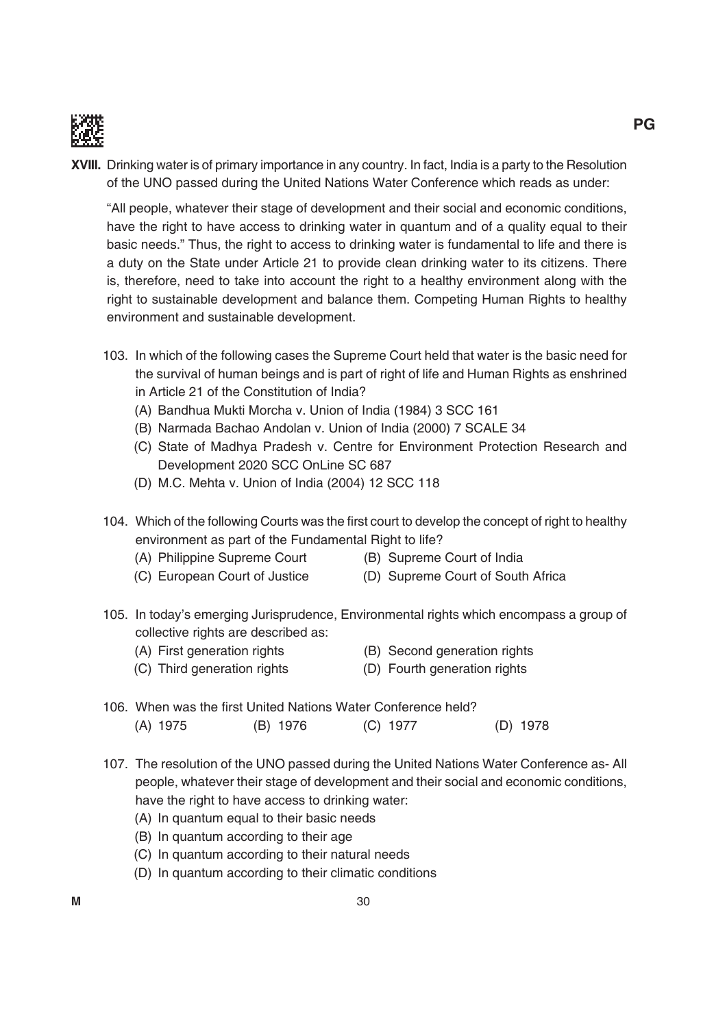

**XVIII.** Drinking water is of primary importance in any country. In fact, India is a party to the Resolution of the UNO passed during the United Nations Water Conference which reads as under:

 "All people, whatever their stage of development and their social and economic conditions, have the right to have access to drinking water in quantum and of a quality equal to their basic needs." Thus, the right to access to drinking water is fundamental to life and there is a duty on the State under Article 21 to provide clean drinking water to its citizens. there is, therefore, need to take into account the right to a healthy environment along with the right to sustainable development and balance them. Competing Human Rights to healthy environment and sustainable development.

- 103. in which of the following cases the Supreme Court held that water is the basic need for the survival of human beings and is part of right of life and Human Rights as enshrined in Article 21 of the Constitution of india?
	- (A) Bandhua Mukti Morcha v. Union of India (1984) 3 SCC 161
	- (B) Narmada Bachao Andolan v. Union of India (2000) 7 SCALE 34
	- (C) State of Madhya Pradesh v. Centre for Environment Protection Research and Development 2020 SCC OnLine SC 687
	- (D) M.C. Mehta v. Union of India (2004) 12 SCC 118
- 104. Which of the following Courts was the first court to develop the concept of right to healthy environment as part of the Fundamental Right to life?
	- (A) Philippine Supreme Court (B) Supreme Court of India
- - (C) European Court of Justice (D) Supreme Court of South Africa
- -
- 
- 105. In today's emerging Jurisprudence, Environmental rights which encompass a group of collective rights are described as:
	- (A) First generation rights (B) Second generation rights
	- (C) Third generation rights (D) Fourth generation rights
- 106. When was the first United Nations Water Conference held? (A) 1975 (B) 1976 (C) 1977 (D) 1978
- 107. The resolution of the UNO passed during the United Nations Water Conference as- All people, whatever their stage of development and their social and economic conditions, have the right to have access to drinking water:
	- (A) in quantum equal to their basic needs
	- (B) In quantum according to their age
	- (C) in quantum according to their natural needs
	- (D) In quantum according to their climatic conditions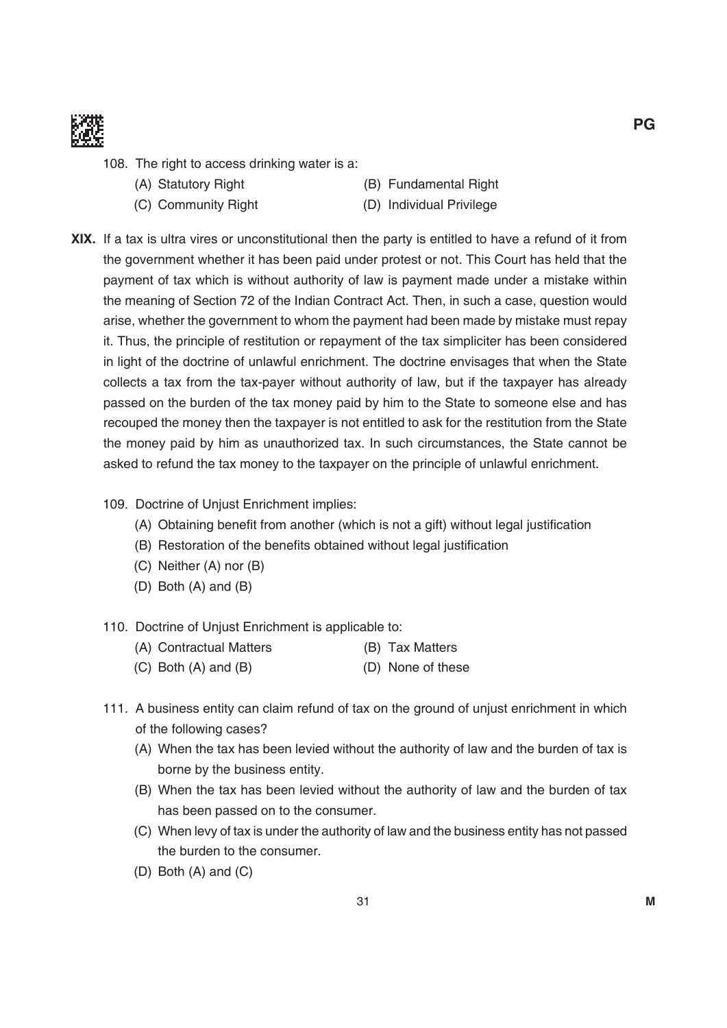

- 108. The right to access drinking water is a:
	-
	-
	- (A) Statutory Right (B) Fundamental Right
	- (C) Community Right (D) Individual Privilege
- **XiX.** if a tax is ultra vires or unconstitutional then the party is entitled to have a refund of it from the government whether it has been paid under protest or not. This Court has held that the payment of tax which is without authority of law is payment made under a mistake within the meaning of Section 72 of the Indian Contract Act. Then, in such a case, question would arise, whether the government to whom the payment had been made by mistake must repay it. Thus, the principle of restitution or repayment of the tax simpliciter has been considered in light of the doctrine of unlawful enrichment. The doctrine envisages that when the State collects a tax from the tax-payer without authority of law, but if the taxpayer has already passed on the burden of the tax money paid by him to the State to someone else and has recouped the money then the taxpayer is not entitled to ask for the restitution from the State the money paid by him as unauthorized tax. in such circumstances, the State cannot be asked to refund the tax money to the taxpayer on the principle of unlawful enrichment.
	- 109. Doctrine of Unjust Enrichment implies:
		- (A) Obtaining benefit from another (which is not a gift) without legal justification
		- (B) Restoration of the benefits obtained without legal justification
		- $(C)$  Neither  $(A)$  nor  $(B)$
		- $(D)$  Both  $(A)$  and  $(B)$
	- 110. Doctrine of Unjust Enrichment is applicable to:
		- (A) Contractual Matters (B) Tax Matters
		- $(C)$  Both  $(A)$  and  $(B)$  (D) None of these
	- 111. A business entity can claim refund of tax on the ground of unjust enrichment in which of the following cases?
		- (A) When the tax has been levied without the authority of law and the burden of tax is borne by the business entity.
		- (B) When the tax has been levied without the authority of law and the burden of tax has been passed on to the consumer.
		- (C) When levy of tax is under the authority of law and the business entity has not passed the burden to the consumer.
		- $(D)$  Both  $(A)$  and  $(C)$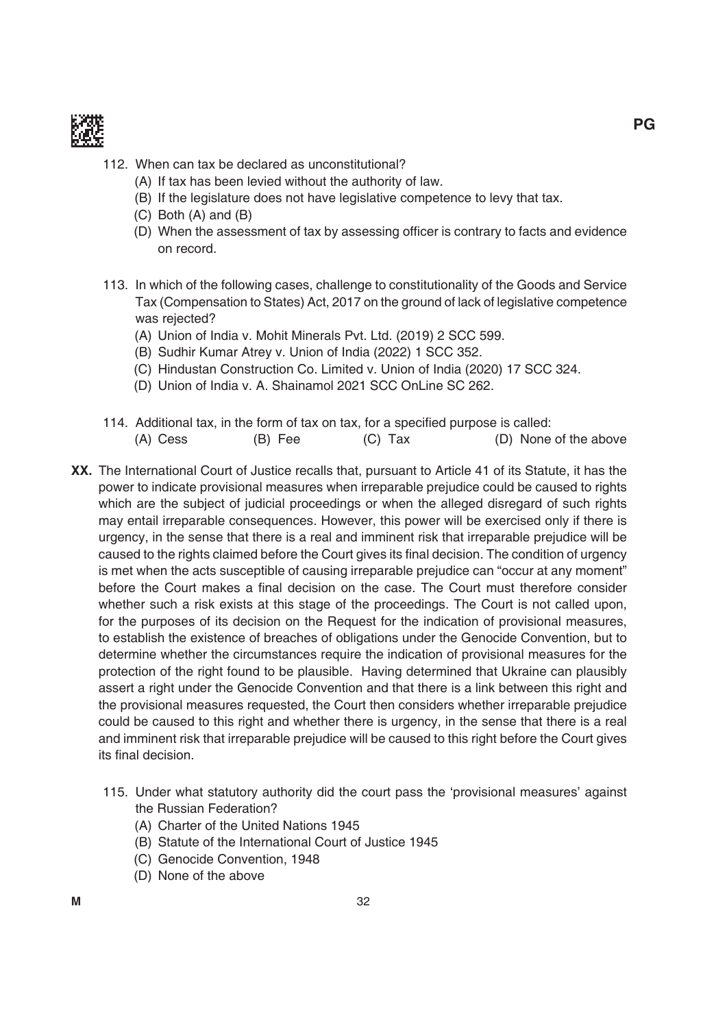

- 112. When can tax be declared as unconstitutional?
	- (A) if tax has been levied without the authority of law.
	- (b) if the legislature does not have legislative competence to levy that tax.
	- $(C)$  Both  $(A)$  and  $(B)$
	- (D) When the assessment of tax by assessing officer is contrary to facts and evidence on record.
- 113. in which of the following cases, challenge to constitutionality of the Goods and Service Tax (Compensation to States) Act, 2017 on the ground of lack of legislative competence was rejected?
	- (A) Union of India v. Mohit Minerals Pvt. Ltd. (2019) 2 SCC 599.
	- (B) Sudhir Kumar Atrey v. Union of India (2022) 1 SCC 352.
	- (C) Hindustan Construction Co. Limited v. Union of India (2020) 17 SCC 324.
	- (D) Union of India v. A. Shainamol 2021 SCC OnLine SC 262.
- 114. Additional tax, in the form of tax on tax, for a specified purpose is called:  $(A)$  Cess  $(B)$  Fee  $(C)$  Tax  $(D)$  None of the above
- **XX.** The International Court of Justice recalls that, pursuant to Article 41 of its Statute, it has the power to indicate provisional measures when irreparable prejudice could be caused to rights which are the subject of judicial proceedings or when the alleged disregard of such rights may entail irreparable consequences. However, this power will be exercised only if there is urgency, in the sense that there is a real and imminent risk that irreparable prejudice will be caused to the rights claimed before the Court gives its final decision. The condition of urgency is met when the acts susceptible of causing irreparable prejudice can "occur at any moment" before the Court makes a final decision on the case. The Court must therefore consider whether such a risk exists at this stage of the proceedings. the Court is not called upon, for the purposes of its decision on the Request for the indication of provisional measures, to establish the existence of breaches of obligations under the Genocide Convention, but to determine whether the circumstances require the indication of provisional measures for the protection of the right found to be plausible. Having determined that Ukraine can plausibly assert a right under the Genocide Convention and that there is a link between this right and the provisional measures requested, the Court then considers whether irreparable prejudice could be caused to this right and whether there is urgency, in the sense that there is a real and imminent risk that irreparable prejudice will be caused to this right before the Court gives its final decision.
	- 115. Under what statutory authority did the court pass the 'provisional measures' against the Russian Federation?
		- (A) Charter of the United Nations 1945
		- (b) Statute of the international Court of Justice 1945
		- (C) Genocide Convention, 1948
		- (D) None of the above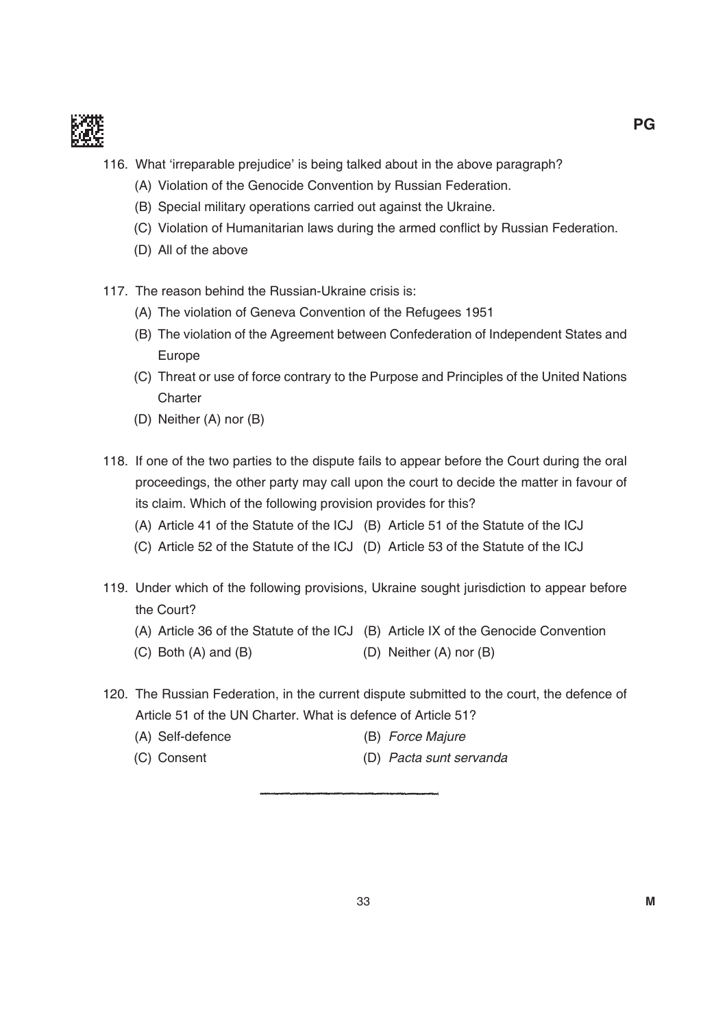

- 116. What 'irreparable prejudice' is being talked about in the above paragraph?
	- (A) Violation of the Genocide Convention by Russian Federation.
	- (B) Special military operations carried out against the Ukraine.
	- (C) Violation of Humanitarian laws during the armed conflict by Russian Federation.
	- (D) All of the above
- 117. The reason behind the Russian-Ukraine crisis is:
	- (A) The violation of Geneva Convention of the Refugees 1951
	- (B) The violation of the Agreement between Confederation of Independent States and Europe
	- (C) Threat or use of force contrary to the Purpose and Principles of the United Nations **Charter**
	- (D) Neither  $(A)$  nor  $(B)$
- 118. if one of the two parties to the dispute fails to appear before the Court during the oral proceedings, the other party may call upon the court to decide the matter in favour of its claim. Which of the following provision provides for this?
	- (A) Article 41 of the Statute of the ICJ (B) Article 51 of the Statute of the ICJ
	- (C) Article 52 of the Statute of the ICJ (D) Article 53 of the Statute of the ICJ
- 119. Under which of the following provisions, Ukraine sought jurisdiction to appear before the Court?
	- (A) Article 36 of the Statute of the ICJ (B) Article IX of the Genocide Convention
	- (C) Both (A) and (B)  $(D)$  Neither (A) nor (B)
- 120. The Russian Federation, in the current dispute submitted to the court, the defence of Article 51 of the UN Charter. What is defence of Article 51?
	- (A) Self-defence (B) Force Majure
	- (C) Consent (D) Pacta sunt servanda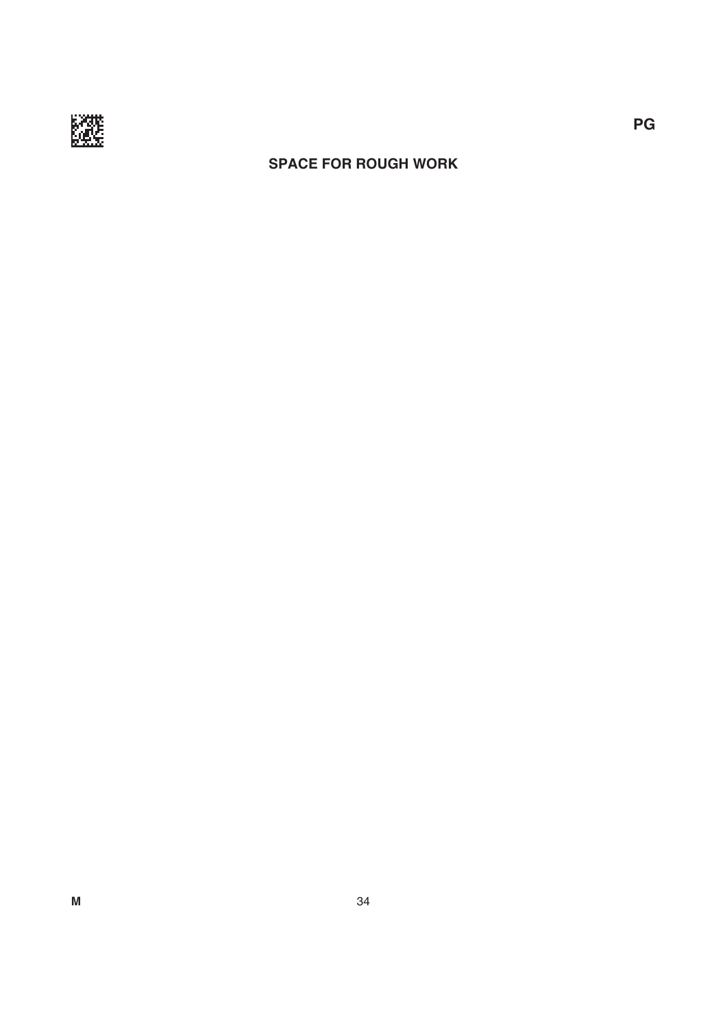

## **sPace for rouGH work**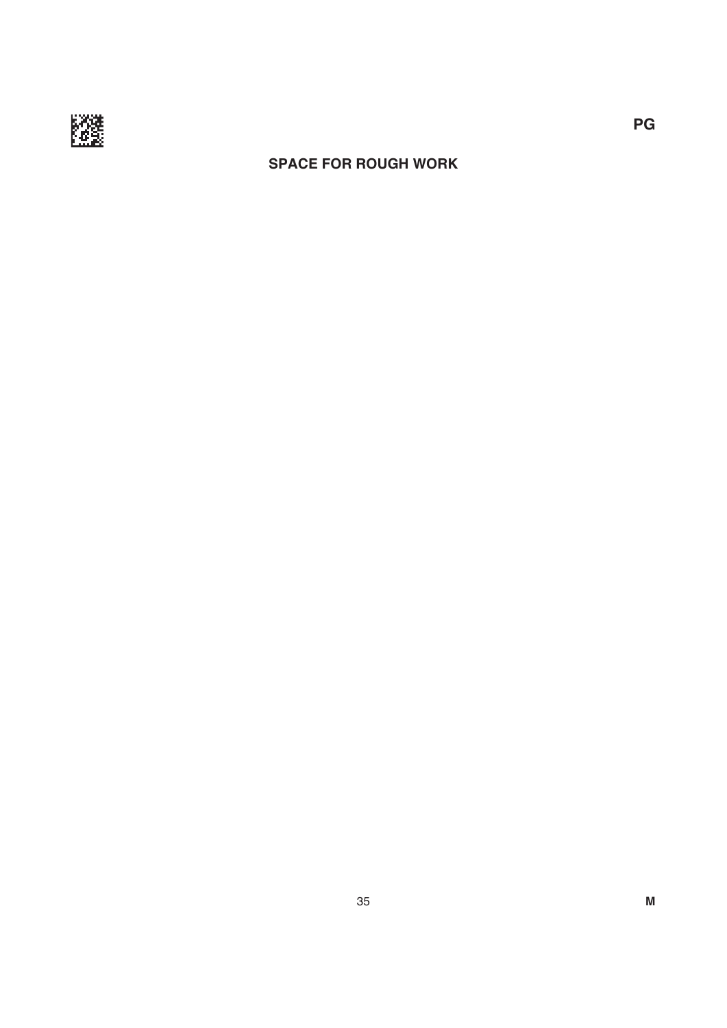

## **sPace for rouGH work**